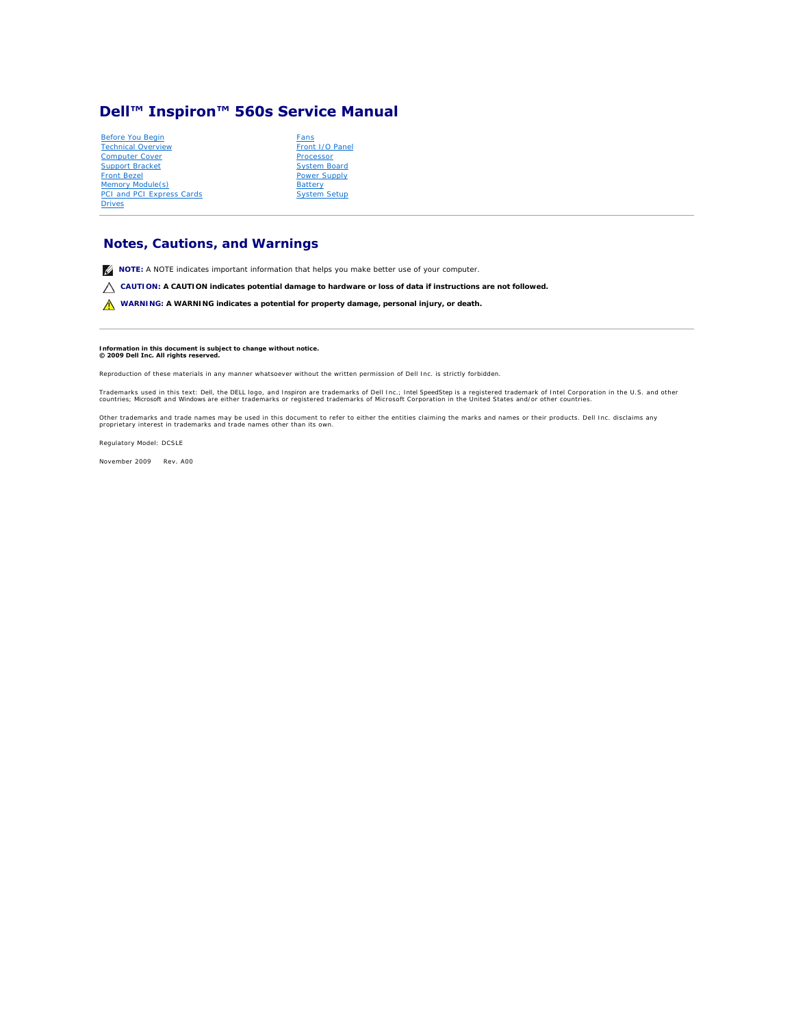# <span id="page-0-0"></span>**Dell™ Inspiron™ 560s Service Manual**

| Before You Begin                 |   |
|----------------------------------|---|
| <b>Technical Overview</b>        |   |
| <b>Computer Cover</b>            | F |
| <b>Support Bracket</b>           |   |
| <b>Front Bezel</b>               | F |
| Memory Module(s)                 | E |
| <b>PCI and PCI Express Cards</b> |   |
| <b>Drives</b>                    |   |

| Fans                |
|---------------------|
| Front I/O Panel     |
| Processor           |
| <b>System Board</b> |
| Power Supply        |
| <b>Battery</b>      |
| <b>System Setup</b> |
|                     |

# **Notes, Cautions, and Warnings**

**A NOTE:** A NOTE indicates important information that helps you make better use of your computer.

**CAUTION: A CAUTION indicates potential damage to hardware or loss of data if instructions are not followed.** 

WARNING: A WARNING indicates a potential for property damage, personal injury, or death.

#### **Information in this document is subject to change without notice. © 2009 Dell Inc. All rights reserved.**

Reproduction of these materials in any manner whatsoever without the written permission of Dell Inc. is strictly forbidden.

Trademarks used in this text: *Dell, the DELL* logo, and *Inspiro*n are trademarks of Dell Inc.; *Intel SpeedStep* is a registered trademark of Intel Corporation in the U.S. and other<br>countries; *Microsoft* and *Windows* a

Other trademarks and trade names may be used in this document to refer to either the entities claiming the marks and names or their products. Dell Inc. disclaims any<br>proprietary interest in trademarks and trade names other

Regulatory Model: DCSLE

November 2009 Rev. A00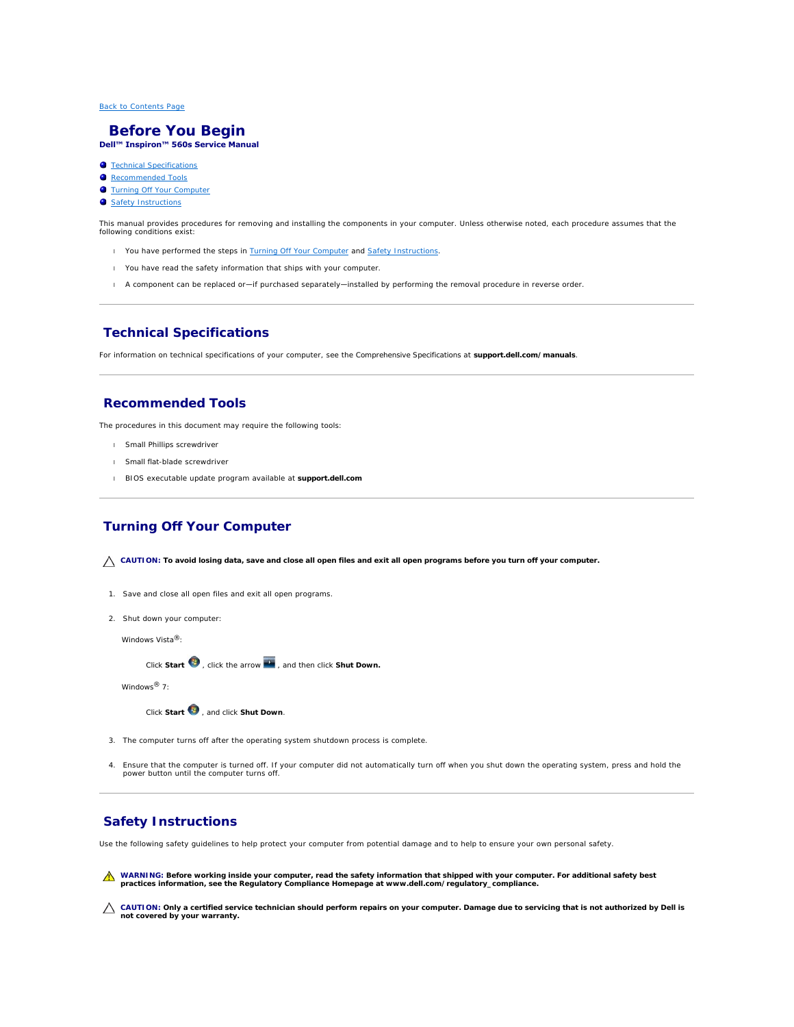#### <span id="page-1-0"></span> **Before You Begin Dell™ Inspiron™ 560s Service Manual**

- **O** Technical Specifications
- **C** Recommended Tools
- **O** Turning Off Your Computer
- Safety Instructions
- 

This manual provides procedures for removing and installing the components in your computer. Unless otherwise noted, each procedure assumes that the following conditions exist:

- 1 You have performed the steps in [Turning Off Your Computer](#page-1-3) and [Safety Instructions.](#page-1-4)
- l You have read the safety information that ships with your computer*.*
- l A component can be replaced or—if purchased separately—installed by performing the removal procedure in reverse order.

#### <span id="page-1-1"></span>**Technical Specifications**

For information on technical specifications of your computer, see the *Comprehensive Specifications* at **support.dell.com/manuals**.

## <span id="page-1-2"></span>**Recommended Tools**

The procedures in this document may require the following tools:

- l Small Phillips screwdriver
- l Small flat-blade screwdriver
- l BIOS executable update program available at **support.dell.com**

# <span id="page-1-3"></span>**Turning Off Your Computer**

**CAUTION: To avoid losing data, save and close all open files and exit all open programs before you turn off your computer.**

- 1. Save and close all open files and exit all open programs.
- 2. Shut down your computer:

*Windows Vista*®:

Click **Start**  $\bullet$ , click the arrow  $\bullet$ , and then click **Shut Down.** 

*Windows*® *7*:

Click **Start** , and click **Shut Down**.

- 3. The computer turns off after the operating system shutdown process is complete.
- 4. Ensure that the computer is turned off. If your computer did not automatically turn off when you shut down the operating system, press and hold the power button until the computer turns off.

#### <span id="page-1-4"></span>**Safety Instructions**

Use the following safety guidelines to help protect your computer from potential damage and to help to ensure your own personal safety.

- WARNING: Before working inside your computer, read the safety information that shipped with your computer. For additional safety best<br>practices information, see the Regulatory Compliance Homepage at www.dell.com/regulatory
- **CAUTION: Only a certified service technician should perform repairs on your computer. Damage due to servicing that is not authorized by Dell is not covered by your warranty.**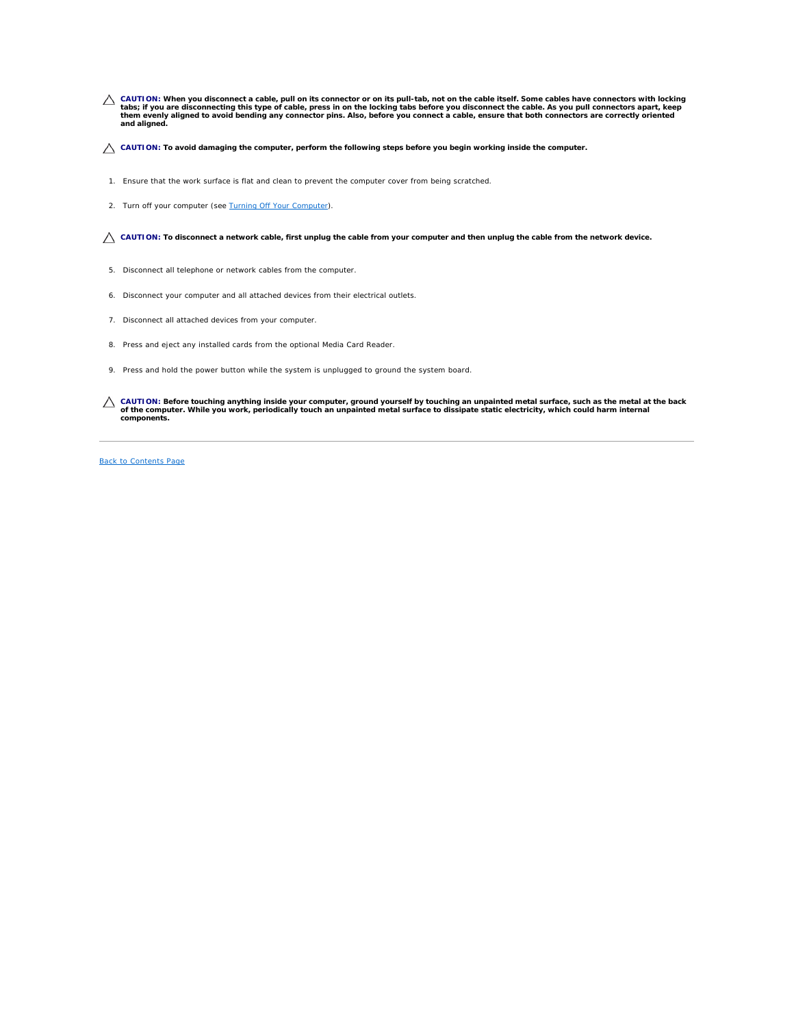- CAUTION: When you disconnect a cable, pull on its connector or on its pull-tab, not on the cable itself. Some cables have connectors with locking<br>tabs; if you are disconnecting this type of cable, press in on the locking t
- **CAUTION: To avoid damaging the computer, perform the following steps before you begin working inside the computer.**
- 1. Ensure that the work surface is flat and clean to prevent the computer cover from being scratched.
- 2. Turn off your computer (see [Turning Off Your Computer\)](#page-1-3).

CAUTION: To disconnect a network cable, first unplug the cable from your computer and then unplug the cable from the network device.

- 5. Disconnect all telephone or network cables from the computer.
- 6. Disconnect your computer and all attached devices from their electrical outlets.
- 7. Disconnect all attached devices from your computer.
- 8. Press and eject any installed cards from the optional Media Card Reader.
- 9. Press and hold the power button while the system is unplugged to ground the system board.
- CAUTION: Before touching anything inside your computer, ground yourself by touching an unpainted metal surface, such as the metal at the back<br>of the computer. While you work, periodically touch an unpainted metal surface t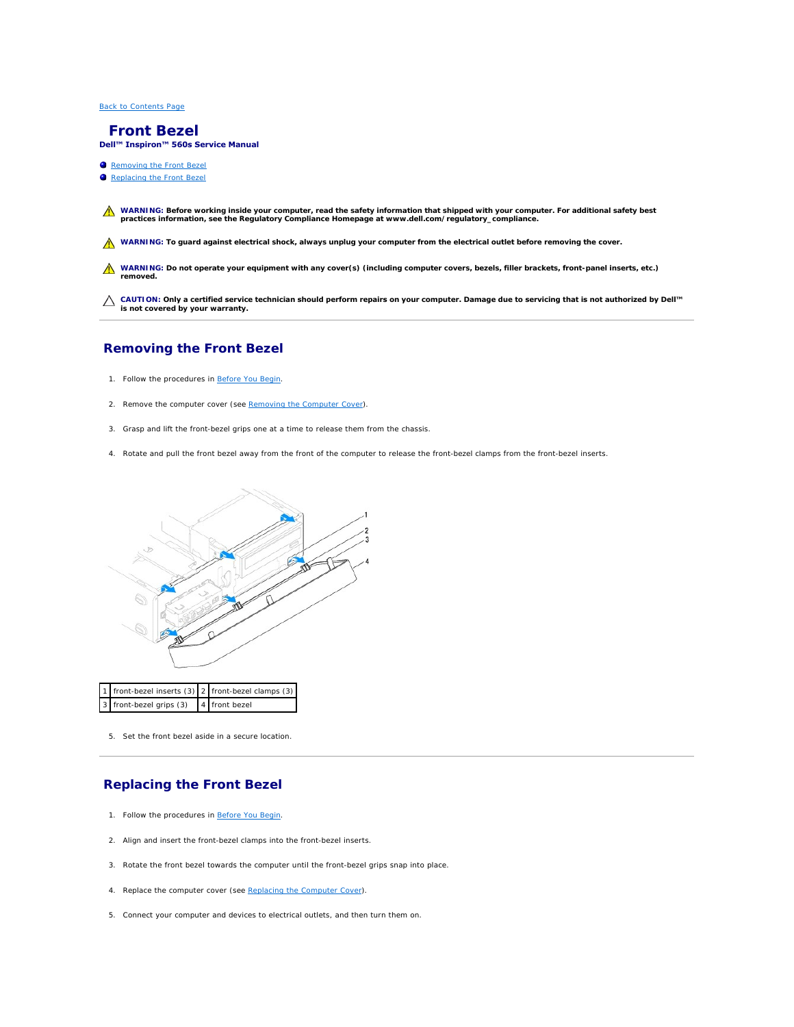# <span id="page-3-0"></span> **Front Bezel**

**Dell™ Inspiron™ 560s Service Manual** 

- **•** Removing the Front Bezel
- eplacing the Front Bezel

WARNING: Before working inside your computer, read the safety information that shipped with your computer. For additional safety best<br>practices information, see the Regulatory Compliance Homepage at www.dell.com/regulatory

WARNING: To guard against electrical shock, always unplug your computer from the electrical outlet before removing the cover.

WARNING: Do not operate your equipment with any cover(s) (including computer covers, bezels, filler brackets, front-panel inserts, etc.) **removed.** 

**CAUTION: Only a certified service technician should perform repairs on your computer. Damage due to servicing that is not authorized by Dell™ is not covered by your warranty.**

# <span id="page-3-1"></span>**Removing the Front Bezel**

- 1. Follow the procedures in [Before You Begin](file:///C:/data/systems/insp560st/en/sm/before.htm#wp1142684).
- 2. Remove the computer cover (see [Removing the Computer Cover\)](file:///C:/data/systems/insp560st/en/sm/cover.htm#wp1189404).
- 3. Grasp and lift the front-bezel grips one at a time to release them from the chassis.
- 4. Rotate and pull the front bezel away from the front of the computer to release the front-bezel clamps from the front-bezel inserts.



5. Set the front bezel aside in a secure location.

# <span id="page-3-2"></span>**Replacing the Front Bezel**

- 1. Follow the procedures in [Before You Begin](file:///C:/data/systems/insp560st/en/sm/before.htm#wp1142684).
- 2. Align and insert the front-bezel clamps into the front-bezel inserts.
- 3. Rotate the front bezel towards the computer until the front-bezel grips snap into place.
- 4. Replace the computer cover (see [Replacing the Computer Cover](file:///C:/data/systems/insp560st/en/sm/cover.htm#wp1189467)).
- 5. Connect your computer and devices to electrical outlets, and then turn them on.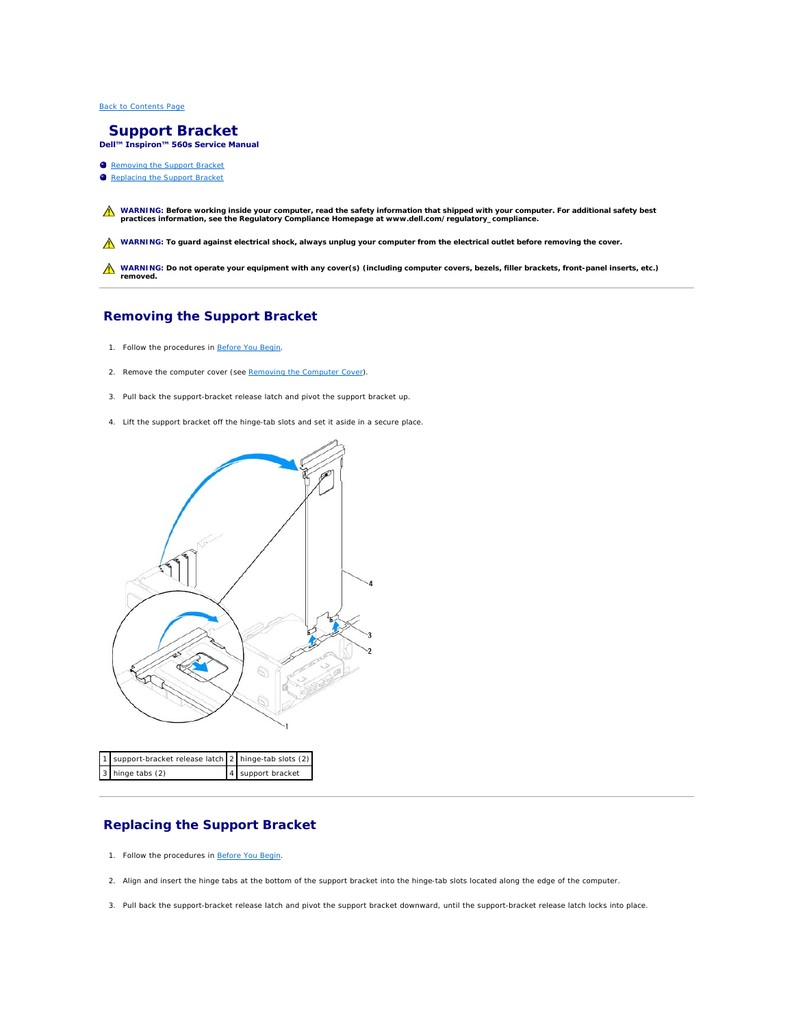<span id="page-5-0"></span> **Support Bracket Dell™ Inspiron™ 560s Service Manual** 

- Removing the Support Bracket
- Replacing the Support Bracket

WARNING: Before working inside your computer, read the safety information that shipped with your computer. For additional safety best<br>practices information, see the Regulatory Compliance Homepage at www.dell.com/regulatory

WARNING: To guard against electrical shock, always unplug your computer from the electrical outlet before removing the cover.

WARNING: Do not operate your equipment with any cover(s) (including computer covers, bezels, filler brackets, front-panel inserts, etc.) **removed.** 

# <span id="page-5-1"></span>**Removing the Support Bracket**

- 1. Follow the procedures in [Before You Begin](file:///C:/data/systems/insp560st/en/sm/before.htm#wp1142684).
- 2. Remove the computer cover (see [Removing the Computer Cover\)](file:///C:/data/systems/insp560st/en/sm/cover.htm#wp1189404).
- 3. Pull back the support-bracket release latch and pivot the support bracket up.
- 4. Lift the support bracket off the hinge-tab slots and set it aside in a secure place.



| 1 support-bracket release latch 2 hinge-tab slots (2) |                   |
|-------------------------------------------------------|-------------------|
| 3 hinge tabs (2)                                      | 4 support bracket |

## <span id="page-5-2"></span>**Replacing the Support Bracket**

- 1. Follow the procedures in [Before You Begin](file:///C:/data/systems/insp560st/en/sm/before.htm#wp1142684).
- 2. Align and insert the hinge tabs at the bottom of the support bracket into the hinge-tab slots located along the edge of the computer.
- 3. Pull back the support-bracket release latch and pivot the support bracket downward, until the support-bracket release latch locks into place.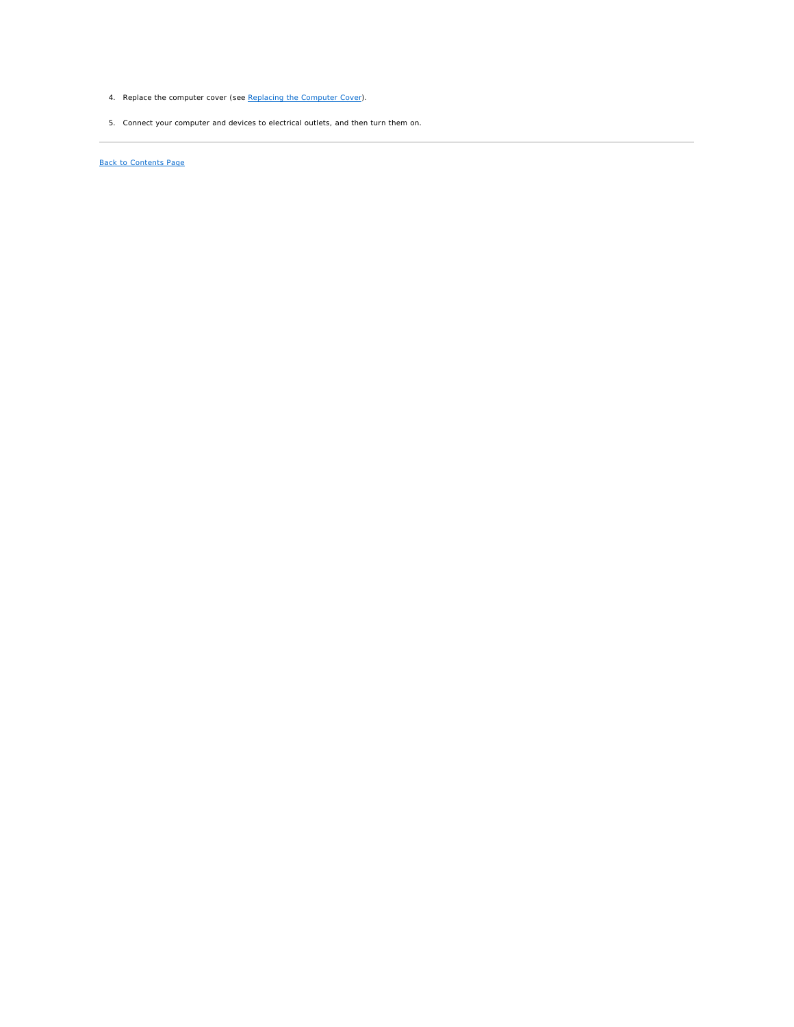- 4. Replace the computer cover (see [Replacing the Computer Cover](file:///C:/data/systems/insp560st/en/sm/cover.htm#wp1189467)).
- 5. Connect your computer and devices to electrical outlets, and then turn them on.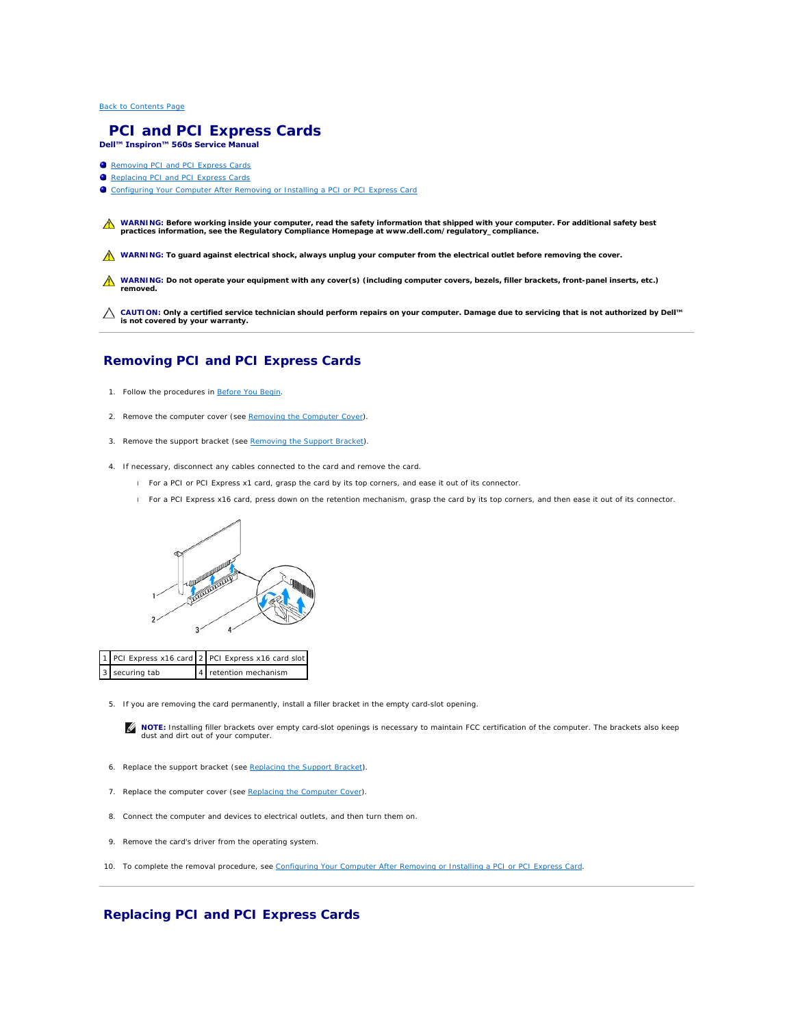#### <span id="page-7-0"></span> **PCI and PCI Express Cards Dell™ Inspiron™ 560s Service Manual**

- **O** Removing PCI and PCI Express Cards
- Replacing PCI and PCI Expr
- **Configuring Your Computer After Removing or Installing a PCI or PCI Express Card**
- WARNING: Before working inside your computer, read the safety information that shipped with your computer. For additional safety best<br>practices information, see the Regulatory Compliance Homepage at www.dell.com/regulatory
- WARNING: To guard against electrical shock, always unplug your computer from the electrical outlet before removing the cover.
- WARNING: Do not operate your equipment with any cover(s) (including computer covers, bezels, filler brackets, front-panel inserts, etc.) **removed.**

**CAUTION: Only a certified service technician should perform repairs on your computer. Damage due to servicing that is not authorized by Dell™ is not covered by your warranty.**

# <span id="page-7-1"></span>**Removing PCI and PCI Express Cards**

- 1. Follow the procedures in [Before You Begin](file:///C:/data/systems/insp560st/en/sm/before.htm#wp1142684).
- 2. Remove the computer cover (see [Removing the Computer Cover\)](file:///C:/data/systems/insp560st/en/sm/cover.htm#wp1189404).
- 3. Remove the support bracket (see [Removing the Support Bracket](file:///C:/data/systems/insp560st/en/sm/bracket.htm#wp1189054)).
- 4. If necessary, disconnect any cables connected to the card and remove the card.
	- l For a PCI or PCI Express x1 card, grasp the card by its top corners, and ease it out of its connector.
	- l For a PCI Express x16 card, press down on the retention mechanism, grasp the card by its top corners, and then ease it out of its connector.



PCI Express x16 card 2 PCI Express x16 card slot securing tab  $\begin{vmatrix} 4 \end{vmatrix}$  retention mechanism

5. If you are removing the card permanently, install a filler bracket in the empty card-slot opening.

**NOTE:** Installing filler brackets over empty card-slot openings is necessary to maintain FCC certification of the computer. The brackets also keep dust and dirt out of your computer.

- 6. Replace the support bracket (see [Replacing the Support Bracket](file:///C:/data/systems/insp560st/en/sm/bracket.htm#wp1181287)).
- 7. Replace the computer cover (see [Replacing the Computer Cover](file:///C:/data/systems/insp560st/en/sm/cover.htm#wp1189467)).
- 8. Connect the computer and devices to electrical outlets, and then turn them on.
- 9. Remove the card's driver from the operating system.
- 10. To complete the removal procedure, see [Configuring Your Computer After Removing or Installing a PCI or PCI Express Card](#page-9-0).

## <span id="page-7-2"></span>**Replacing PCI and PCI Express Cards**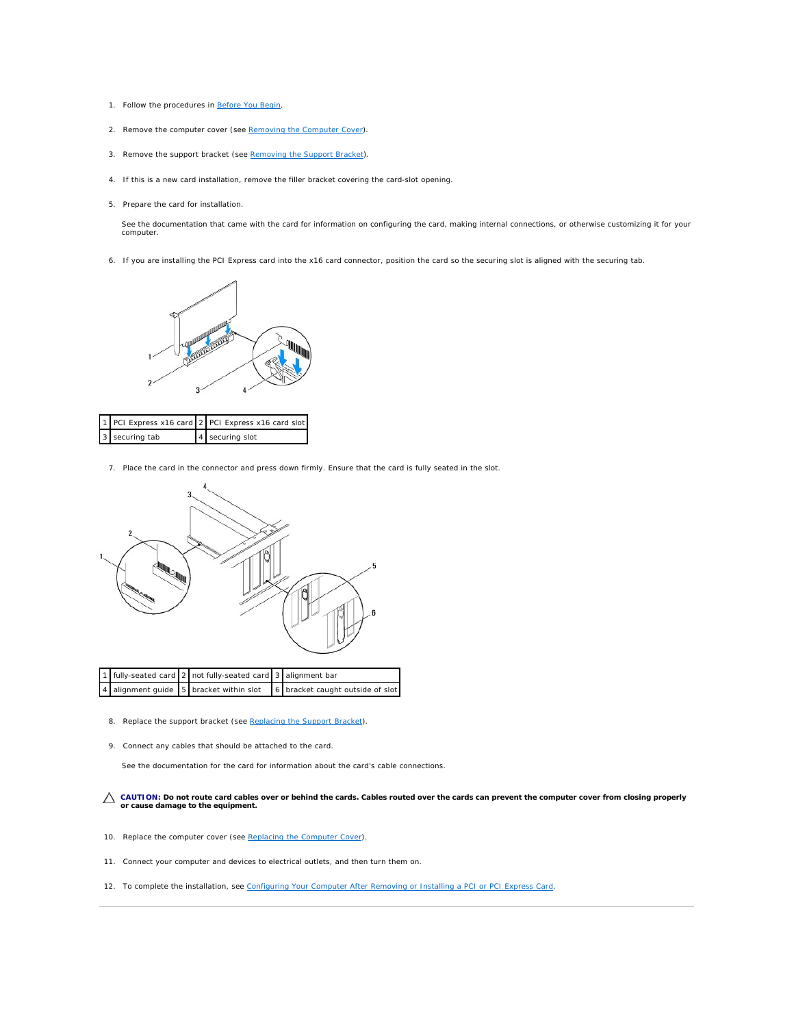- 1. Follow the procedures in [Before You Begin](file:///C:/data/systems/insp560st/en/sm/before.htm#wp1142684).
- 2. Remove the computer cover (see [Removing the Computer Cover\)](file:///C:/data/systems/insp560st/en/sm/cover.htm#wp1189404).
- 3. Remove the support bracket (see [Removing the Support Bracket](file:///C:/data/systems/insp560st/en/sm/bracket.htm#wp1189054)).
- 4. If this is a new card installation, remove the filler bracket covering the card-slot opening.
- 5. Prepare the card for installation.

See the documentation that came with the card for information on configuring the card, making internal connections, or otherwise customizing it for your computer.

6. If you are installing the PCI Express card into the x16 card connector, position the card so the securing slot is aligned with the securing tab.



|                | 1 PCI Express x16 card 2 PCI Express x16 card slot |
|----------------|----------------------------------------------------|
| 3 securing tab | 4 securing slot                                    |

7. Place the card in the connector and press down firmly. Ensure that the card is fully seated in the slot.



|  | 1 fully-seated card 2 not fully-seated card 3 alignment bar |                                                                          |
|--|-------------------------------------------------------------|--------------------------------------------------------------------------|
|  |                                                             | 4 alignment guide 5 bracket within slot 6 bracket caught outside of slot |

- 8. Replace the support bracket (see [Replacing the Support Bracket](file:///C:/data/systems/insp560st/en/sm/bracket.htm#wp1181287)).
- 9. Connect any cables that should be attached to the card.

See the documentation for the card for information about the card's cable connections.

**CAUTION: Do not route card cables over or behind the cards. Cables routed over the cards can prevent the computer cover from closing properly or cause damage to the equipment.**

- 10. Replace the computer cover (see [Replacing the Computer Cover](file:///C:/data/systems/insp560st/en/sm/cover.htm#wp1189467)).
- 11. Connect your computer and devices to electrical outlets, and then turn them on.
- 12. To complete the installation, see [Configuring Your Computer After Removing or Installing a PCI or PCI Express Card.](#page-9-0)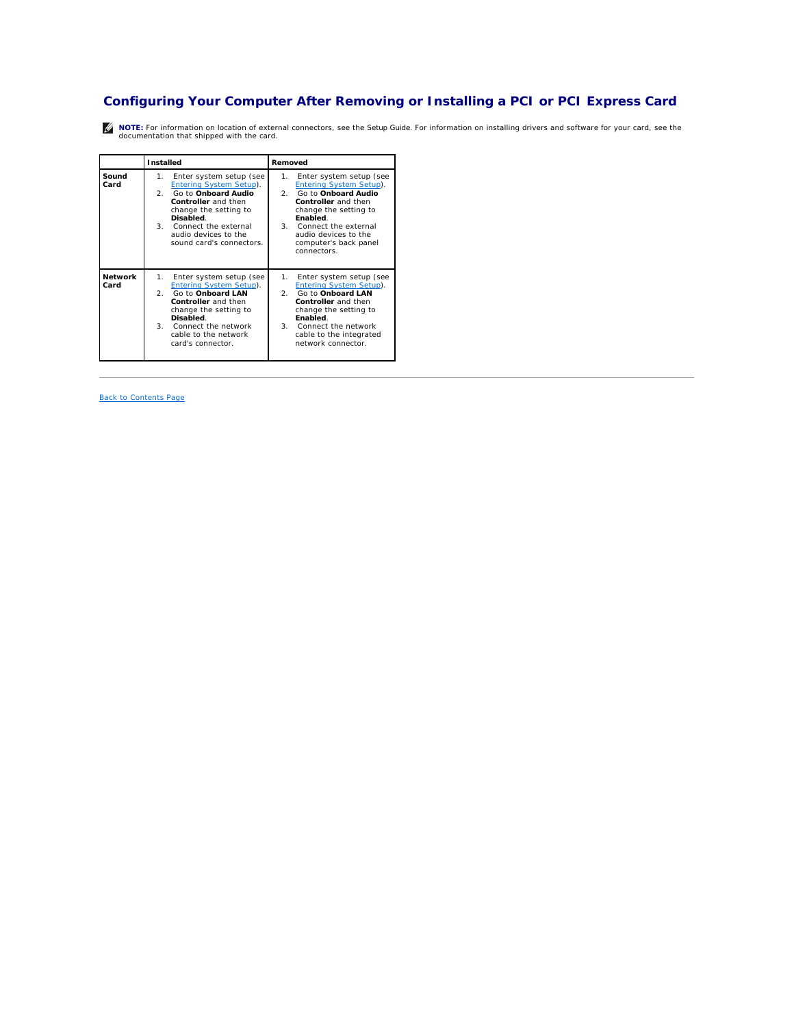# <span id="page-9-1"></span><span id="page-9-0"></span>**Configuring Your Computer After Removing or Installing a PCI or PCI Express Card**

**NOTE:** For information on location of external connectors, see the *Setup Guide.* For information on installing drivers and software for your card, see the documentation that shipped with the card.

|                        | Installed                                                                                                                                                                                                                                | Removed                                                                                                                                                                                                                                      |
|------------------------|------------------------------------------------------------------------------------------------------------------------------------------------------------------------------------------------------------------------------------------|----------------------------------------------------------------------------------------------------------------------------------------------------------------------------------------------------------------------------------------------|
| Sound<br>Card          | Enter system setup (see<br>1.<br><b>Entering System Setup).</b><br>Go to Onboard Audio<br>2.<br>Controller and then<br>change the setting to<br>Disabled.<br>3. Connect the external<br>audio devices to the<br>sound card's connectors. | Enter system setup (see<br>1.<br>Entering System Setup).<br>Go to Onboard Audio<br>2.<br>Controller and then<br>change the setting to<br>Enabled.<br>3. Connect the external<br>audio devices to the<br>computer's back panel<br>connectors. |
| <b>Network</b><br>Card | 1.<br>Enter system setup (see<br>Entering System Setup).<br>Go to <b>Onboard LAN</b><br>2.<br>Controller and then<br>change the setting to<br>Disabled.<br>3. Connect the network<br>cable to the network.<br>card's connector.          | Enter system setup (see<br>1.<br>Entering System Setup).<br>Go to Onboard LAN<br>2.<br>Controller and then<br>change the setting to<br>Enabled.<br>3. Connect the network<br>cable to the integrated<br>network connector.                   |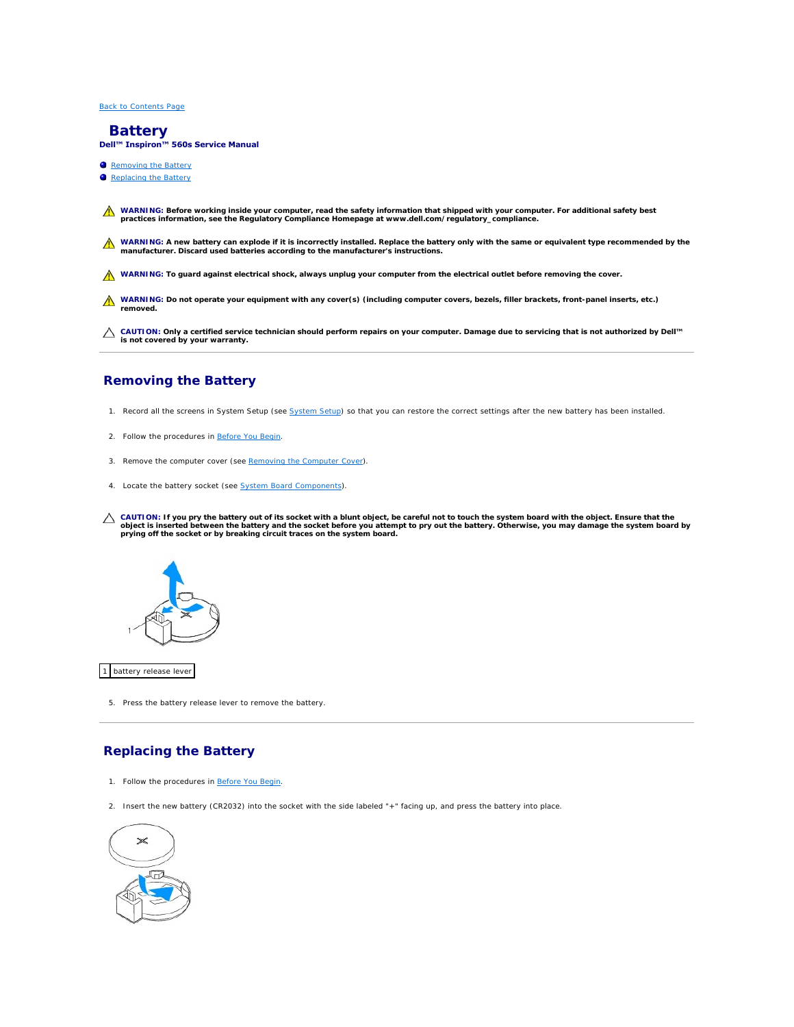# <span id="page-10-0"></span> **Battery**

**Dell™ Inspiron™ 560s Service Manual** 

- Removing the Battery
- **C** Replacing the Battery



△ CAUTION: Only a certified service technician should perform repairs on your computer. Damage due to servicing that is not authorized by Dell™<br>
is a structured by unique that the computer of the control of the control of **is not covered by your warranty.**

# <span id="page-10-1"></span>**Removing the Battery**

- <span id="page-10-3"></span>1. Record all the screens in [System Setup](file:///C:/data/systems/insp560st/en/sm/setup.htm#wp1160258) (see System Setup) so that you can restore the correct settings after the new battery has been installed.
- 2. Follow the procedures in [Before You Begin](file:///C:/data/systems/insp560st/en/sm/before.htm#wp1142684).
- 3. Remove the computer cover (see [Removing the Computer Cover\)](file:///C:/data/systems/insp560st/en/sm/cover.htm#wp1189404).
- 4. Locate the battery socket (see **System Board Components**).
- CAUTION: If you pry the battery out of its socket with a blunt object, be careful not to touch the system board with the object. Ensure that the<br>object is inserted between the battery and the socket before you attempt to p



1 battery release lever

5. Press the battery release lever to remove the battery.

# <span id="page-10-2"></span>**Replacing the Battery**

- 1. Follow the procedures in [Before You Begin](file:///C:/data/systems/insp560st/en/sm/before.htm#wp1142684).
- 2. Insert the new battery (CR2032) into the socket with the side labeled "+" facing up, and press the battery into place.

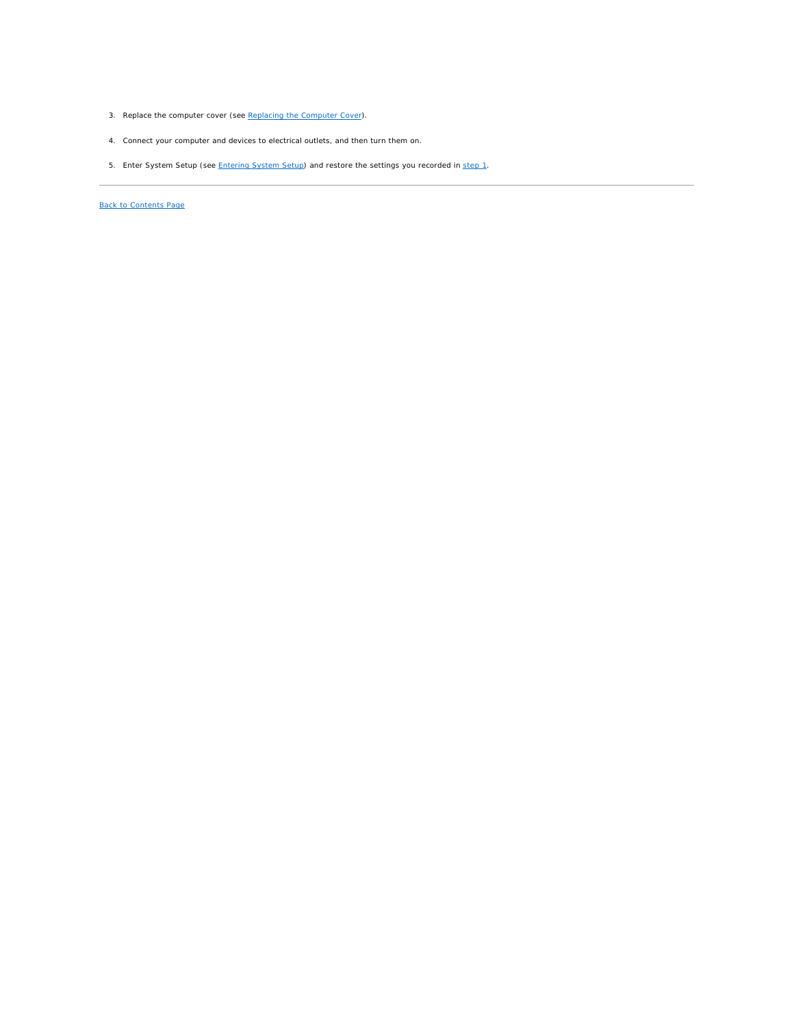- 3. Replace the computer cover (see [Replacing the Computer Cover](file:///C:/data/systems/insp560st/en/sm/cover.htm#wp1189467)).
- 4. Connect your computer and devices to electrical outlets, and then turn them on.
- 5. Enter System Setup (see *Entering System Setup*) and restore the settings you recorded in [step 1](#page-10-3).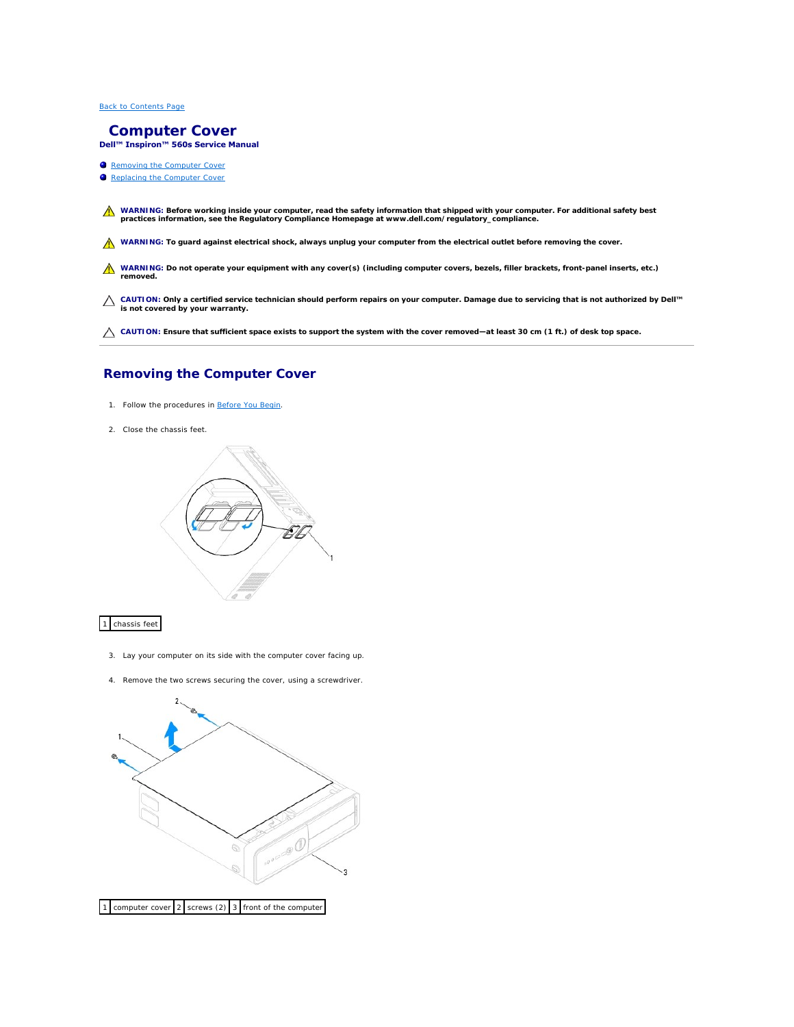#### <span id="page-12-0"></span> **Computer Cover Dell™ Inspiron™ 560s Service Manual**

- **Removing the Computer Cover** Replacing the Computer Cover
- WARNING: Before working inside your computer, read the safety information that shipped with your computer. For additional safety best<br>practices information, see the Regulatory Compliance Homepage at www.dell.com/regulatory

WARNING: To guard against electrical shock, always unplug your computer from the electrical outlet before removing the cover.

WARNING: Do not operate your equipment with any cover(s) (including computer covers, bezels, filler brackets, front-panel inserts, etc.) **removed.** 

**CAUTION: Only a certified service technician should perform repairs on your computer. Damage due to servicing that is not authorized by Dell™ is not covered by your warranty.**

**CAUTION: Ensure that sufficient space exists to support the system with the cover removed—at least 30 cm (1 ft.) of desk top space.**

# <span id="page-12-1"></span>**Removing the Computer Cover**

- 1. Follow the procedures in [Before You Begin](file:///C:/data/systems/insp560st/en/sm/before.htm#wp1142684).
- 2. Close the chassis feet.



1 chassis feet

- 3. Lay your computer on its side with the computer cover facing up.
- 4. Remove the two screws securing the cover, using a screwdriver.

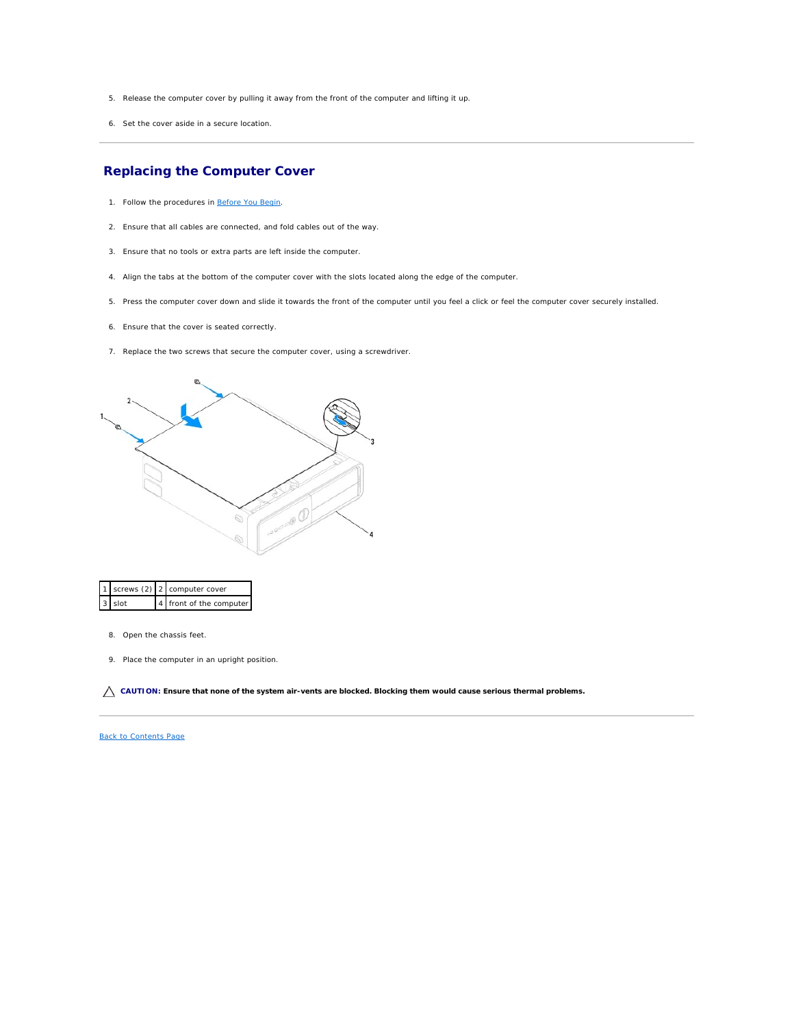- <span id="page-13-0"></span>5. Release the computer cover by pulling it away from the front of the computer and lifting it up.
- 6. Set the cover aside in a secure location.

# <span id="page-13-1"></span>**Replacing the Computer Cover**

- 1. Follow the procedures in [Before You Begin](file:///C:/data/systems/insp560st/en/sm/before.htm#wp1142684).
- 2. Ensure that all cables are connected, and fold cables out of the way.
- 3. Ensure that no tools or extra parts are left inside the computer.
- 4. Align the tabs at the bottom of the computer cover with the slots located along the edge of the computer.
- 5. Press the computer cover down and slide it towards the front of the computer until you feel a click or feel the computer cover securely installed.
- 6. Ensure that the cover is seated correctly.
- 7. Replace the two screws that secure the computer cover, using a screwdriver.



|          | 1   screws (2)   2   computer cover |
|----------|-------------------------------------|
| $3$ slot | 4 front of the computer             |

- 8. Open the chassis feet.
- 9. Place the computer in an upright position.

**CAUTION: Ensure that none of the system air-vents are blocked. Blocking them would cause serious thermal problems.**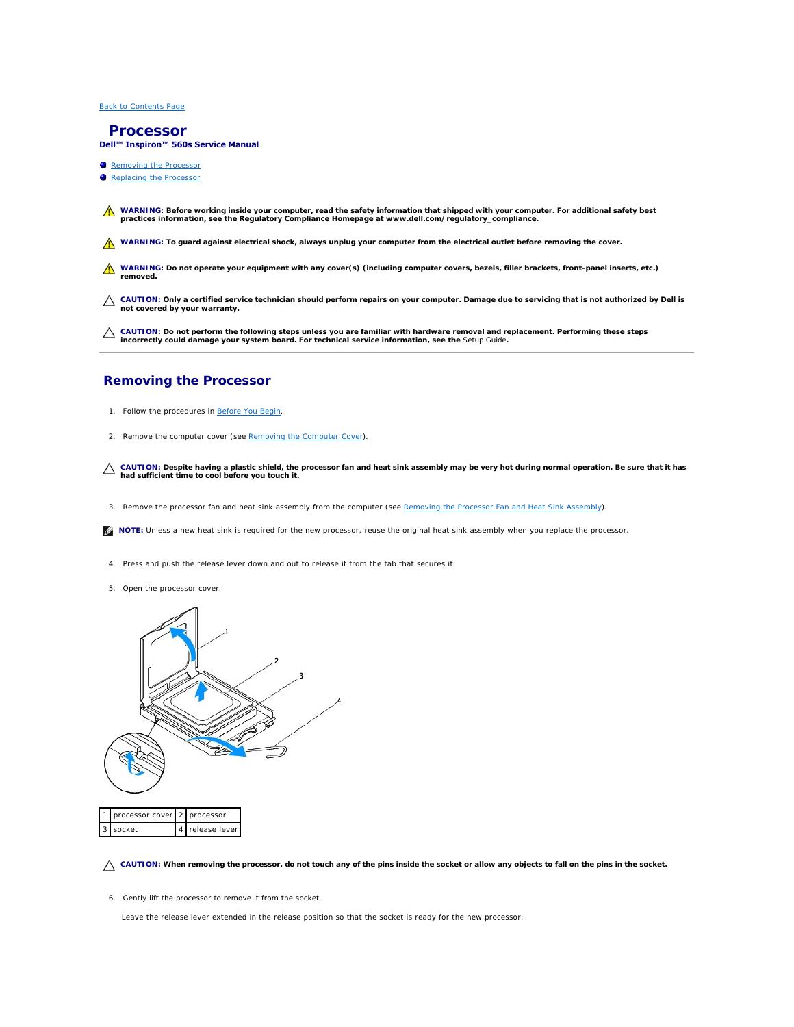#### <span id="page-14-0"></span> **Processor**

**Dell™ Inspiron™ 560s Service Manual** 

- **Removing the Processor**
- placing the Proce
- WARNING: Before working inside your computer, read the safety information that shipped with your computer. For additional safety best<br>practices information, see the Regulatory Compliance Homepage at www.dell.com/regulatory

WARNING: To guard against electrical shock, always unplug your computer from the electrical outlet before removing the cover.

- WARNING: Do not operate your equipment with any cover(s) (including computer covers, bezels, filler brackets, front-panel inserts, etc.) **removed.**
- **CAUTION: Only a certified service technician should perform repairs on your computer. Damage due to servicing that is not authorized by Dell is not covered by your warranty.**
- CAUTION: Do not perform the following steps unless you are familiar with hardware removal and replacement. Performing these steps<br>incorrectly could damage your system board. For technical service information, see the *Setu*

#### <span id="page-14-1"></span>**Removing the Processor**

- 1. Follow the procedures in [Before You Begin](file:///C:/data/systems/insp560st/en/sm/before.htm#wp1142684).
- 2. Remove the computer cover (see [Removing the Computer Cover\)](file:///C:/data/systems/insp560st/en/sm/cover.htm#wp1189404).
- **CAUTION: Despite having a plastic shield, the processor fan and heat sink assembly may be very hot during normal operation. Be sure that it has had sufficient time to cool before you touch it.**
- 3. Remove the processor fan and heat sink assembly from the computer (see [Removing the Processor Fan and Heat Sink Assembly](file:///C:/data/systems/insp560st/en/sm/fan.htm#wp1180146)).
- **IF NOTE:** Unless a new heat sink is required for the new processor, reuse the original heat sink assembly when you replace the processor.
- 4. Press and push the release lever down and out to release it from the tab that secures it.
- 5. Open the processor cover.



△ CAUTION: When removing the processor, do not touch any of the pins inside the socket or allow any objects to fall on the pins in the socket.

6. Gently lift the processor to remove it from the socket.

Leave the release lever extended in the release position so that the socket is ready for the new processor.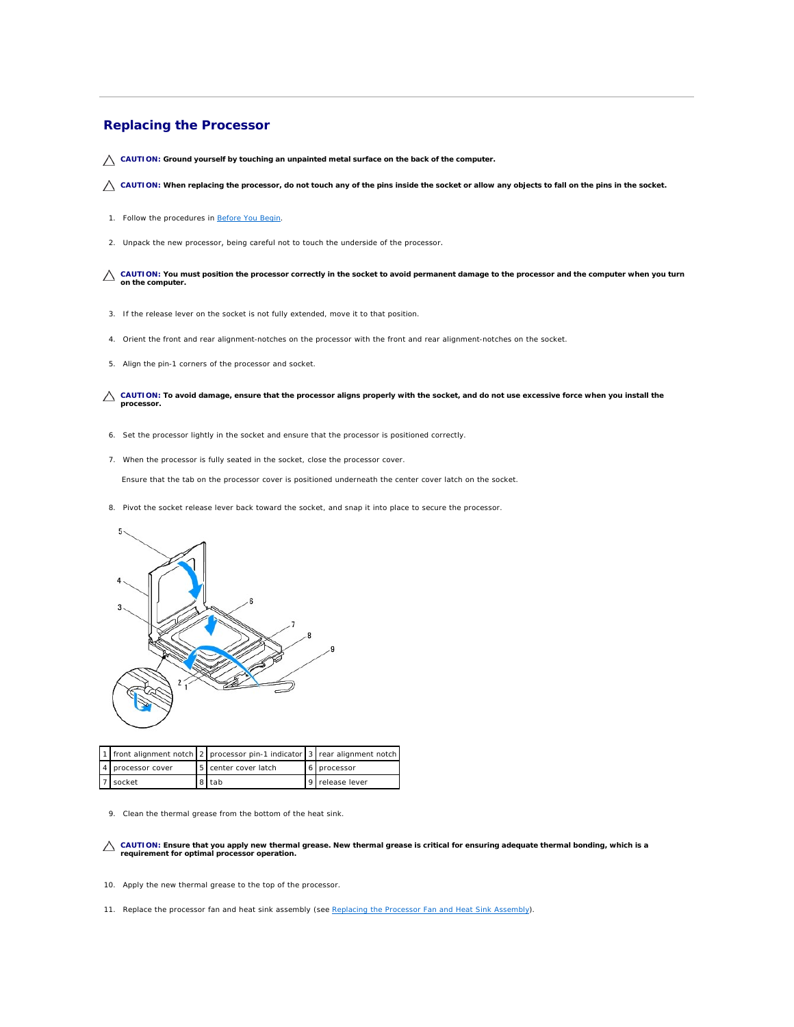## <span id="page-15-1"></span><span id="page-15-0"></span>**Replacing the Processor**

**CAUTION: Ground yourself by touching an unpainted metal surface on the back of the computer.**

CAUTION: When replacing the processor, do not touch any of the pins inside the socket or allow any objects to fall on the pins in the socket.

- 1. Follow the procedures in **[Before You Begin](file:///C:/data/systems/insp560st/en/sm/before.htm#wp1142684)**.
- 2. Unpack the new processor, being careful not to touch the underside of the processor.

CAUTION: You must position the processor correctly in the socket to avoid permanent damage to the processor and the computer when you turn **on the computer.**

- 3. If the release lever on the socket is not fully extended, move it to that position.
- 4. Orient the front and rear alignment-notches on the processor with the front and rear alignment-notches on the socket.
- 5. Align the pin-1 corners of the processor and socket.

**CAUTION: To avoid damage, ensure that the processor aligns properly with the socket, and do not use excessive force when you install the processor.**

- 6. Set the processor lightly in the socket and ensure that the processor is positioned correctly.
- 7. When the processor is fully seated in the socket, close the processor cover.

Ensure that the tab on the processor cover is positioned underneath the center cover latch on the socket.

8. Pivot the socket release lever back toward the socket, and snap it into place to secure the processor.



|                   | 11 front alignment notch 2 processor pin-1 indicator 3 rear alignment notch |                 |
|-------------------|-----------------------------------------------------------------------------|-----------------|
| 4 processor cover | 5 center cover latch                                                        | 6   processor   |
| socket            | 8 I tab                                                                     | 9 release lever |

9. Clean the thermal grease from the bottom of the heat sink.

**CAUTION: Ensure that you apply new thermal grease. New thermal grease is critical for ensuring adequate thermal bonding, which is a requirement for optimal processor operation.**

- 10. Apply the new thermal grease to the top of the processor.
- 11. Replace the processor fan and heat sink assembly (see [Replacing the Processor Fan and Heat Sink Assembly](file:///C:/data/systems/insp560st/en/sm/fan.htm#wp1193789)).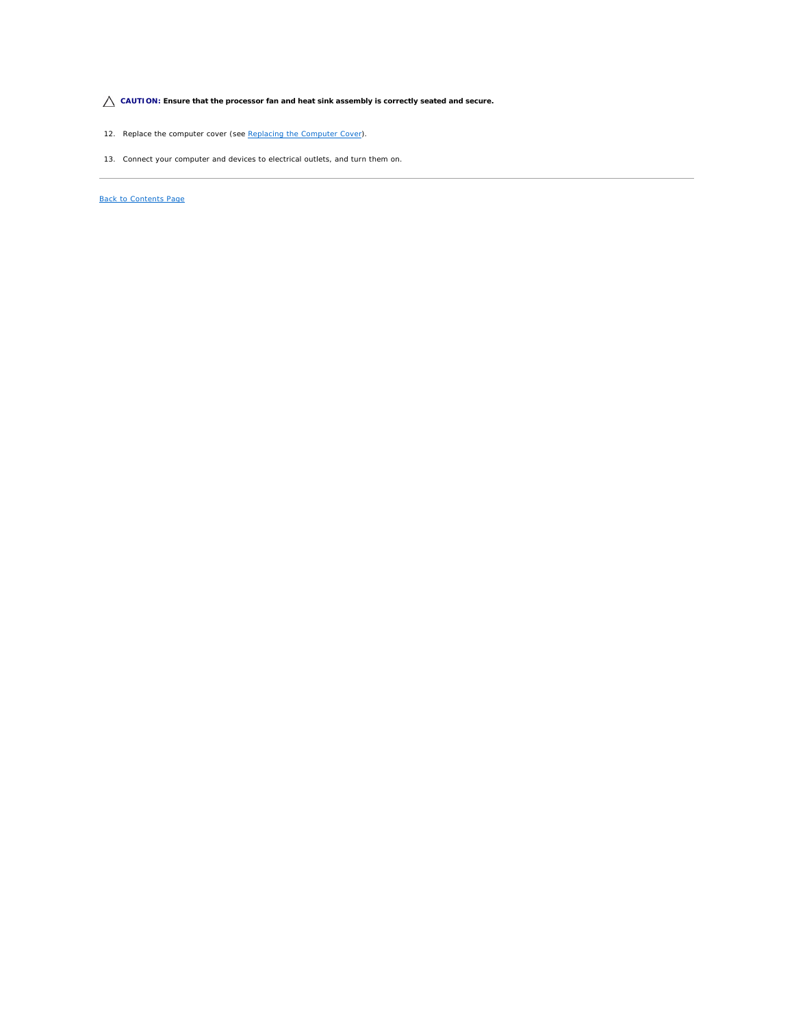**CAUTION: Ensure that the processor fan and heat sink assembly is correctly seated and secure.**

- 12. Replace the computer cover (see [Replacing the Computer Cover](file:///C:/data/systems/insp560st/en/sm/cover.htm#wp1189467)).
- 13. Connect your computer and devices to electrical outlets, and turn them on.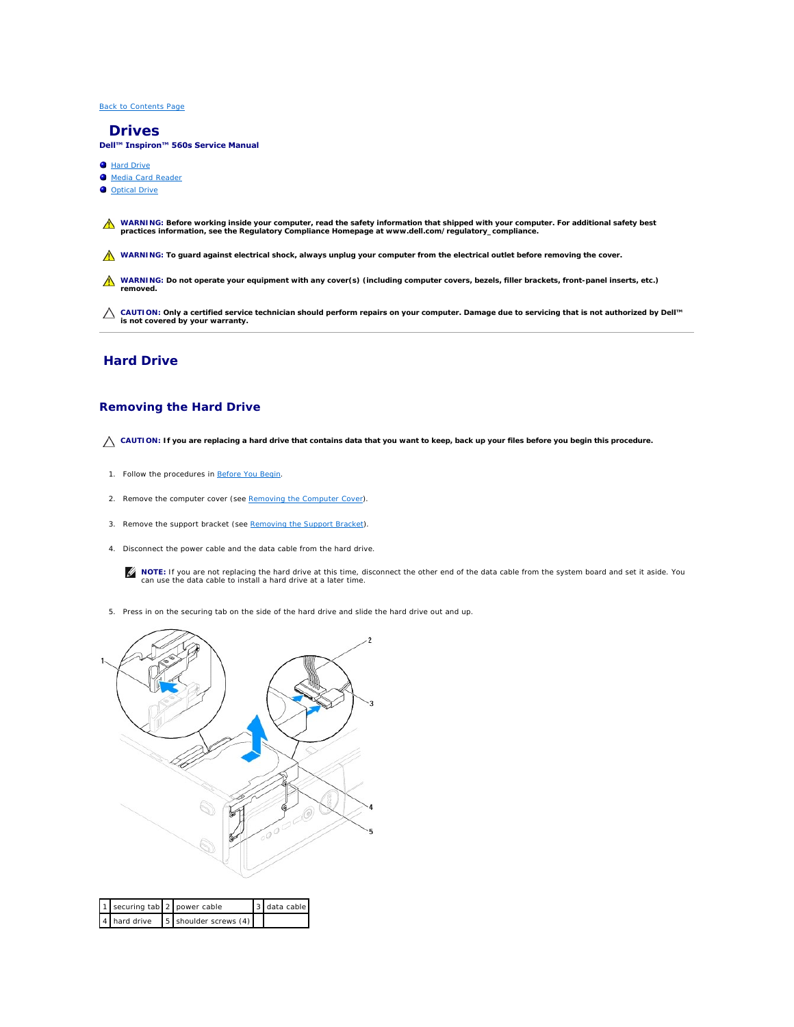#### <span id="page-17-0"></span> **Drives**

**Dell™ Inspiron™ 560s Service Manual** 

- **C** Hard Drive
- $\bullet$  Media Card R
- O Optical Drive
- WARNING: Before working inside your computer, read the safety information that shipped with your computer. For additional safety best<br>practices information, see the Regulatory Compliance Homepage at www.dell.com/regulatory
- WARNING: To guard against electrical shock, always unplug your computer from the electrical outlet before removing the cover.
- **WARNING: Do not operate your equipment with any cover(s) (including computer covers, bezels, filler brackets, front-panel inserts, etc.) removed.**

**CAUTION: Only a certified service technician should perform repairs on your computer. Damage due to servicing that is not authorized by Dell™ is not covered by your warranty.**

# <span id="page-17-1"></span>**Hard Drive**

#### **Removing the Hard Drive**

△ CAUTION: If you are replacing a hard drive that contains data that you want to keep, back up your files before you begin this procedure.

- 1. Follow the procedures in [Before You Begin](file:///C:/data/systems/insp560st/en/sm/before.htm#wp1142684).
- 2. Remove the computer cover (see [Removing the Computer Cover\)](file:///C:/data/systems/insp560st/en/sm/cover.htm#wp1189404).
- 3. Remove the support bracket (see [Removing the Support Bracket](file:///C:/data/systems/insp560st/en/sm/bracket.htm#wp1189054)).
- 4. Disconnect the power cable and the data cable from the hard drive.

**NOTE:** If you are not replacing the hard drive at this time, disconnect the other end of the data cable from the system board and set it aside. You can use the data cable to install a hard drive at a later time.

5. Press in on the securing tab on the side of the hard drive and slide the hard drive out and up.



| 1 securing tab 2 power cable |                                    | 3 data cable |
|------------------------------|------------------------------------|--------------|
|                              | 4 hard drive 5 shoulder screws (4) |              |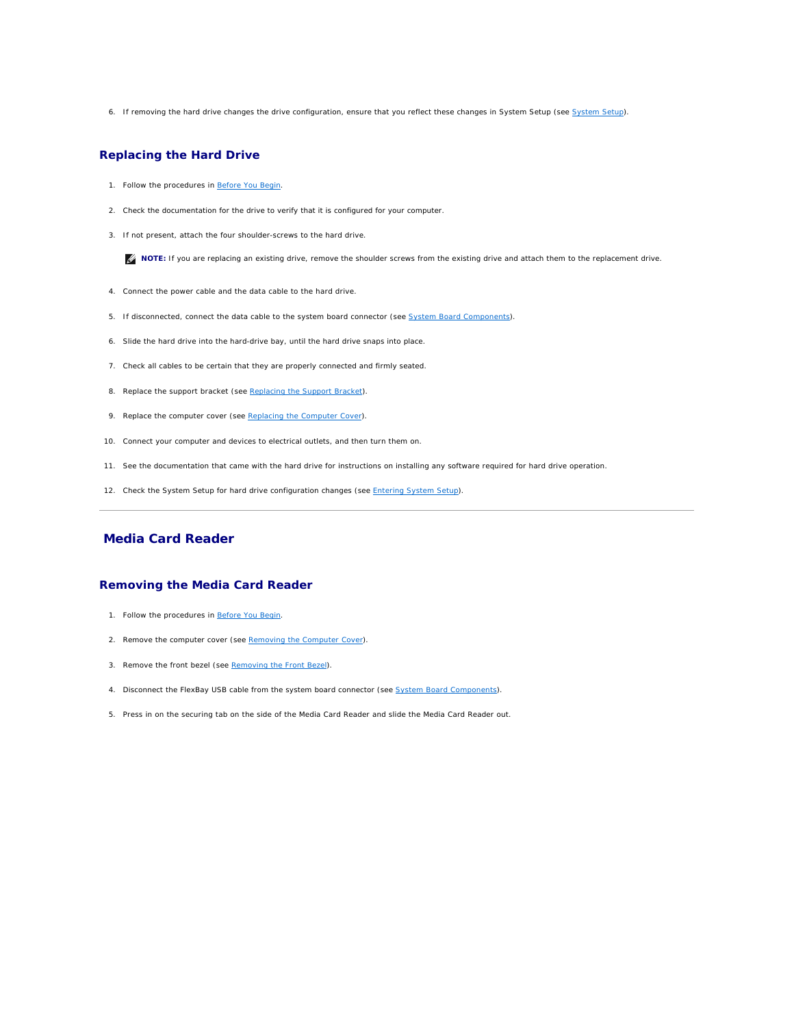<span id="page-18-1"></span>6. If removing the hard drive changes the drive configuration, ensure that you reflect these changes in [System Setup](file:///C:/data/systems/insp560st/en/sm/setup.htm#wp1160258) (see System Setup).

## **Replacing the Hard Drive**

- 1. Follow the procedures in [Before You Begin](file:///C:/data/systems/insp560st/en/sm/before.htm#wp1142684).
- 2. Check the documentation for the drive to verify that it is configured for your computer.
- 3. If not present, attach the four shoulder-screws to the hard drive.

**IF NOTE:** If you are replacing an existing drive, remove the shoulder screws from the existing drive and attach them to the replacement drive.

- 4. Connect the power cable and the data cable to the hard drive.
- 5. If disconnected, connect the data cable to the system board connector (see [System Board Components](file:///C:/data/systems/insp560st/en/sm/techov.htm#wp1206583)).
- 6. Slide the hard drive into the hard-drive bay, until the hard drive snaps into place.
- 7. Check all cables to be certain that they are properly connected and firmly seated.
- 8. Replace the support bracket (see [Replacing the Support Bracket](file:///C:/data/systems/insp560st/en/sm/bracket.htm#wp1181287)).
- 9. Replace the computer cover (see [Replacing the Computer Cover](file:///C:/data/systems/insp560st/en/sm/cover.htm#wp1189467)).
- 10. Connect your computer and devices to electrical outlets, and then turn them on.
- 11. See the documentation that came with the hard drive for instructions on installing any software required for hard drive operation.
- 12. Check the System Setup for hard drive configuration changes (see **Entering System Setup**).

# <span id="page-18-0"></span>**Media Card Reader**

#### **Removing the Media Card Reader**

- 1. Follow the procedures in [Before You Begin](file:///C:/data/systems/insp560st/en/sm/before.htm#wp1142684).
- 2. Remove the computer cover (see [Removing the Computer Cover\)](file:///C:/data/systems/insp560st/en/sm/cover.htm#wp1189404).
- 3. Remove the front bezel (see [Removing the Front Bezel](file:///C:/data/systems/insp560st/en/sm/bezel.htm#wp1181855)).
- 4. Disconnect the FlexBay USB cable from the system board connector (see [System Board Components](file:///C:/data/systems/insp560st/en/sm/techov.htm#wp1206583)).
- 5. Press in on the securing tab on the side of the Media Card Reader and slide the Media Card Reader out.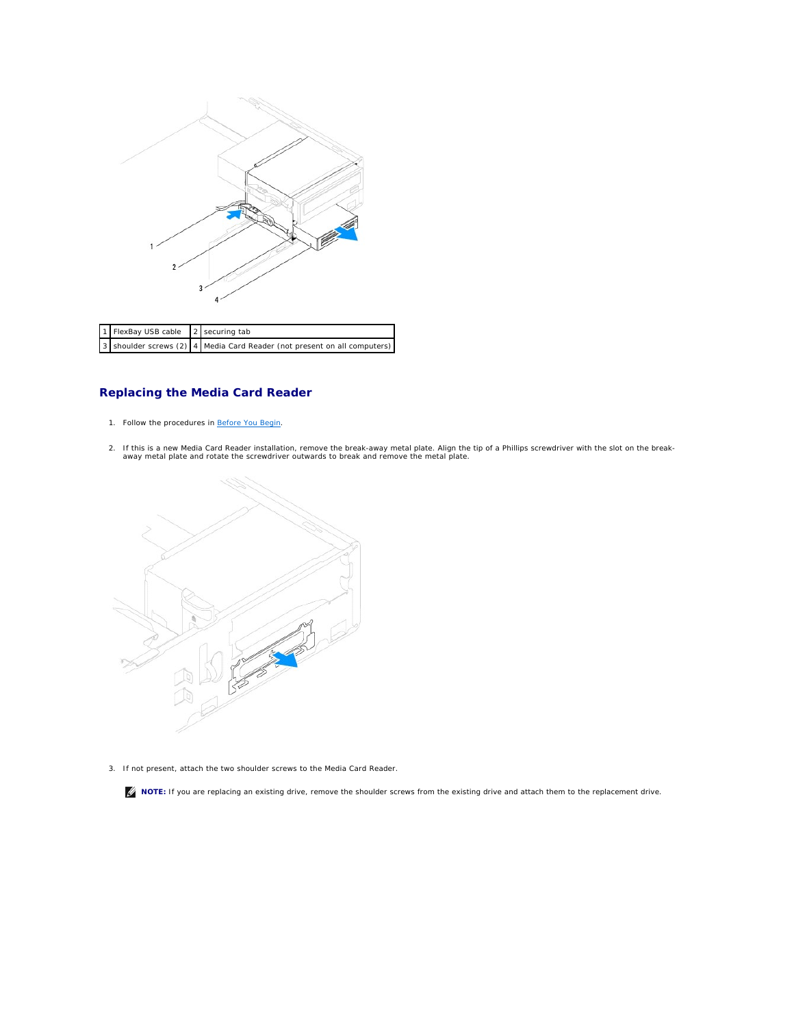

| 1 FlexBay USB cable 2 securing tab |                                                                          |
|------------------------------------|--------------------------------------------------------------------------|
|                                    | 3 shoulder screws (2) 4 Media Card Reader (not present on all computers) |

# **Replacing the Media Card Reader**

- 1. Follow the procedures in [Before You Begin](file:///C:/data/systems/insp560st/en/sm/before.htm#wp1142684).
- If this is a new Media Card Reader installation, remove the break-away metal plate. Align the tip of a Phillips screwdriver with the slot on the break-<br>away metal plate and rotate the screwdriver outwards to break and re



3. If not present, attach the two shoulder screws to the Media Card Reader.

**A** NOTE: If you are replacing an existing drive, remove the shoulder screws from the existing drive and attach them to the replacement drive.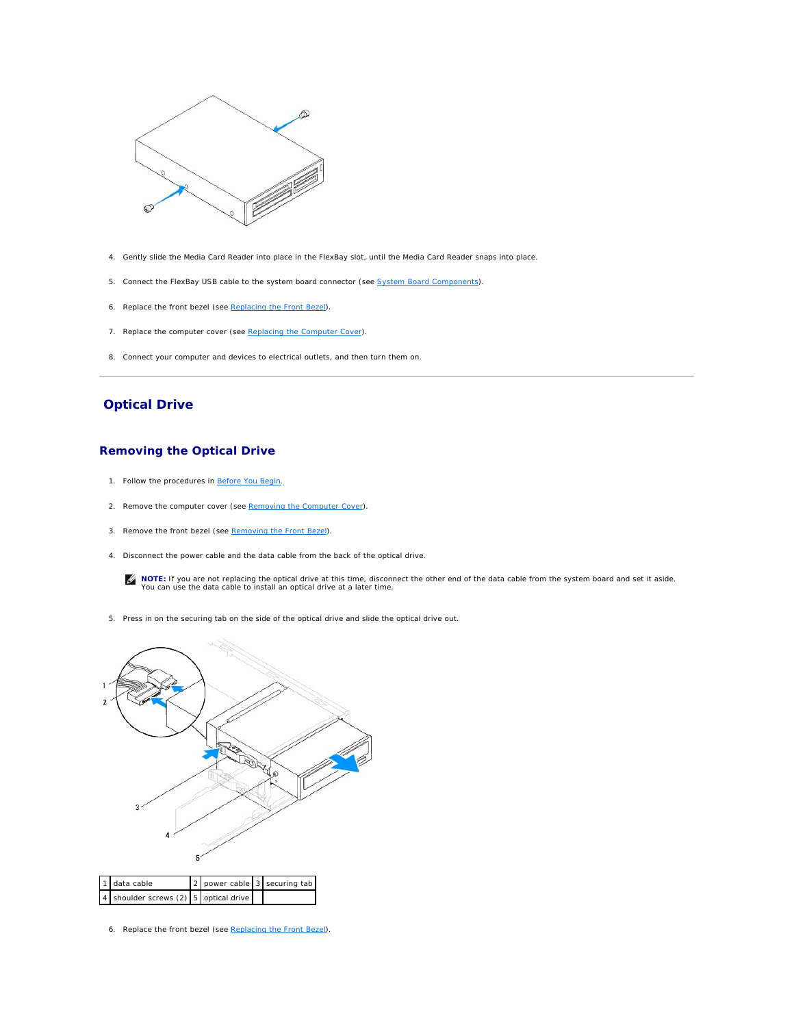<span id="page-20-1"></span>

- 4. Gently slide the Media Card Reader into place in the FlexBay slot, until the Media Card Reader snaps into place.
- 5. Connect the FlexBay USB cable to the system board connector (see [System Board Components](file:///C:/data/systems/insp560st/en/sm/techov.htm#wp1206583)).
- 6. Replace the front bezel (see [Replacing the Front Bezel](file:///C:/data/systems/insp560st/en/sm/bezel.htm#wp1181929)).
- 7. Replace the computer cover (see [Replacing the Computer Cover](file:///C:/data/systems/insp560st/en/sm/cover.htm#wp1189467)).
- 8. Connect your computer and devices to electrical outlets, and then turn them on.

# <span id="page-20-0"></span>**Optical Drive**

## **Removing the Optical Drive**

- 1. Follow the procedures in [Before You Begin](file:///C:/data/systems/insp560st/en/sm/before.htm#wp1142684).
- 2. Remove the computer cover (see [Removing the Computer Cover\)](file:///C:/data/systems/insp560st/en/sm/cover.htm#wp1189404).
- 3. Remove the front bezel (see [Removing the Front Bezel](file:///C:/data/systems/insp560st/en/sm/bezel.htm#wp1181855)).
- 4. Disconnect the power cable and the data cable from the back of the optical drive.

**NOTE:** If you are not replacing the optical drive at this time, disconnect the other end of the data cable from the system board and set it aside.<br>You can use the data cable to install an optical drive at a later time.

5. Press in on the securing tab on the side of the optical drive and slide the optical drive out.



6. Replace the front bezel (see [Replacing the Front Bezel](file:///C:/data/systems/insp560st/en/sm/bezel.htm#wp1181929)).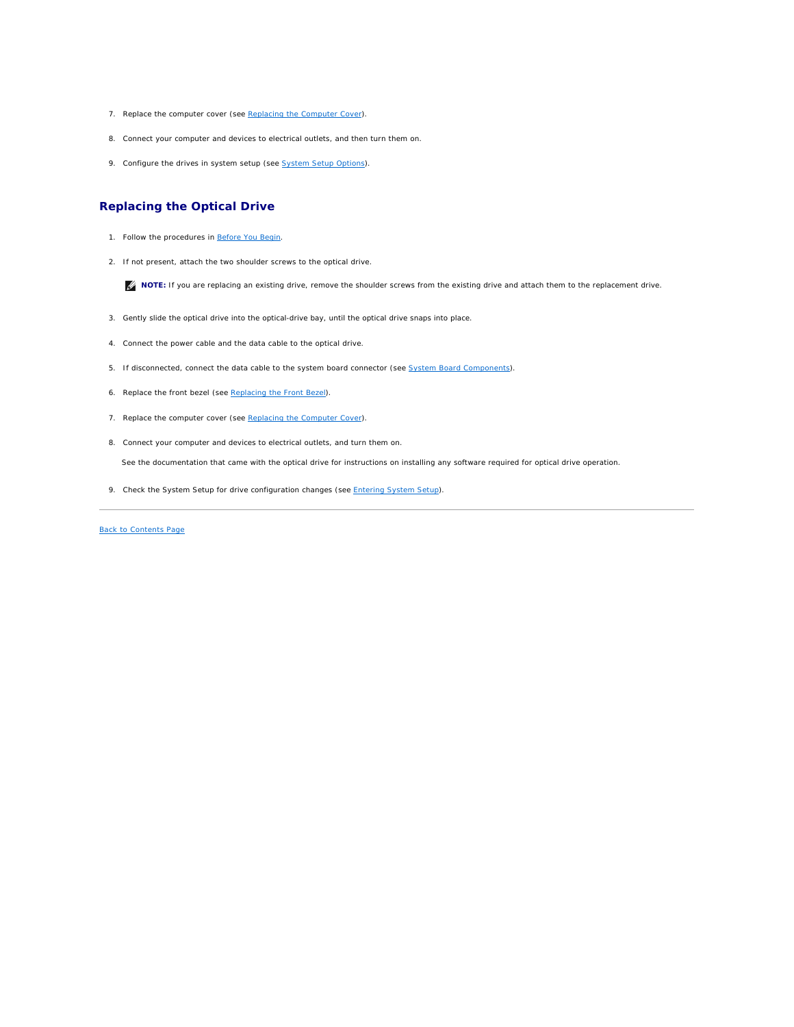- <span id="page-21-0"></span>7. Replace the computer cover (see [Replacing the Computer Cover](file:///C:/data/systems/insp560st/en/sm/cover.htm#wp1189467)).
- 8. Connect your computer and devices to electrical outlets, and then turn them on.
- 9. Configure the drives in system setup (see [System Setup Options](file:///C:/data/systems/insp560st/en/sm/setup.htm#wp1166955)).

# **Replacing the Optical Drive**

- 1. Follow the procedures in [Before You Begin](file:///C:/data/systems/insp560st/en/sm/before.htm#wp1142684).
- 2. If not present, attach the two shoulder screws to the optical drive.

**NOTE:** If you are replacing an existing drive, remove the shoulder screws from the existing drive and attach them to the replacement drive.

- 3. Gently slide the optical drive into the optical-drive bay, until the optical drive snaps into place.
- 4. Connect the power cable and the data cable to the optical drive.
- 5. If disconnected, connect the data cable to the system board connector (see [System Board Components](file:///C:/data/systems/insp560st/en/sm/techov.htm#wp1206583)).
- 6. Replace the front bezel (see [Replacing the Front Bezel](file:///C:/data/systems/insp560st/en/sm/bezel.htm#wp1181929)).
- 7. Replace the computer cover (see [Replacing the Computer Cover](file:///C:/data/systems/insp560st/en/sm/cover.htm#wp1189467)).
- 8. Connect your computer and devices to electrical outlets, and turn them on.

See the documentation that came with the optical drive for instructions on installing any software required for optical drive operation.

9. Check the System Setup for drive configuration changes (see [Entering System Setup](file:///C:/data/systems/insp560st/en/sm/setup.htm#wp1160276)).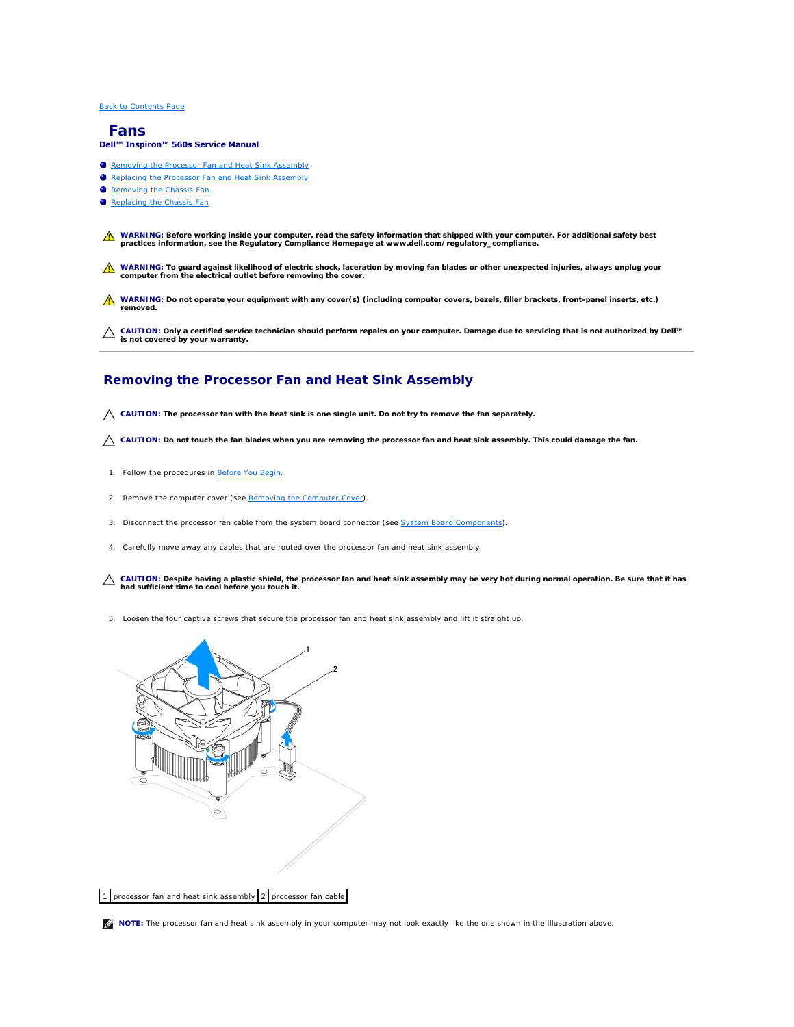#### <span id="page-22-0"></span> **Fans**

#### **Dell™ Inspiron™ 560s Service Manual**

- Removing the Processor Fan and Heat Sink Assembly
- Replacing the Processor Fan and Heat Sink Assembly
- Removing the Chassis Fan
- Replacing the Chassis Fan
- WARNING: Before working inside your computer, read the safety information that shipped with your computer. For additional safety best<br>practices information, see the Regulatory Compliance Homepage at www.dell.com/regulatory
- **WARNING: To guard against likelihood of electric shock, laceration by moving fan blades or other unexpected injuries, always unplug your computer from the electrical outlet before removing the cover.**
- **WARNING: Do not operate your equipment with any cover(s) (including computer covers, bezels, filler brackets, front-panel inserts, etc.) removed.**

**CAUTION: Only a certified service technician should perform repairs on your computer. Damage due to servicing that is not authorized by Dell™ is not covered by your warranty.**

## <span id="page-22-1"></span>**Removing the Processor Fan and Heat Sink Assembly**

**CAUTION: The processor fan with the heat sink is one single unit. Do not try to remove the fan separately.**

 $\triangle$  CAUTION: Do not touch the fan blades when you are removing the processor fan and heat sink assembly. This could damage the fan.

- 1. Follow the procedures in [Before You Begin](file:///C:/data/systems/insp560st/en/sm/before.htm#wp1142684).
- 2. Remove the computer cover (see **Removing the Computer Cover**).
- 3. Disconnect the processor fan cable from the system board connector (see [System Board Components](file:///C:/data/systems/insp560st/en/sm/techov.htm#wp1206583)).
- 4. Carefully move away any cables that are routed over the processor fan and heat sink assembly.
- CAUTION: Despite having a plastic shield, the processor fan and heat sink assembly may be very hot during normal operation. Be sure that it has **had sufficient time to cool before you touch it.**
- 5. Loosen the four captive screws that secure the processor fan and heat sink assembly and lift it straight up.



**IF NOTE:** The processor fan and heat sink assembly in your computer may not look exactly like the one shown in the illustration above.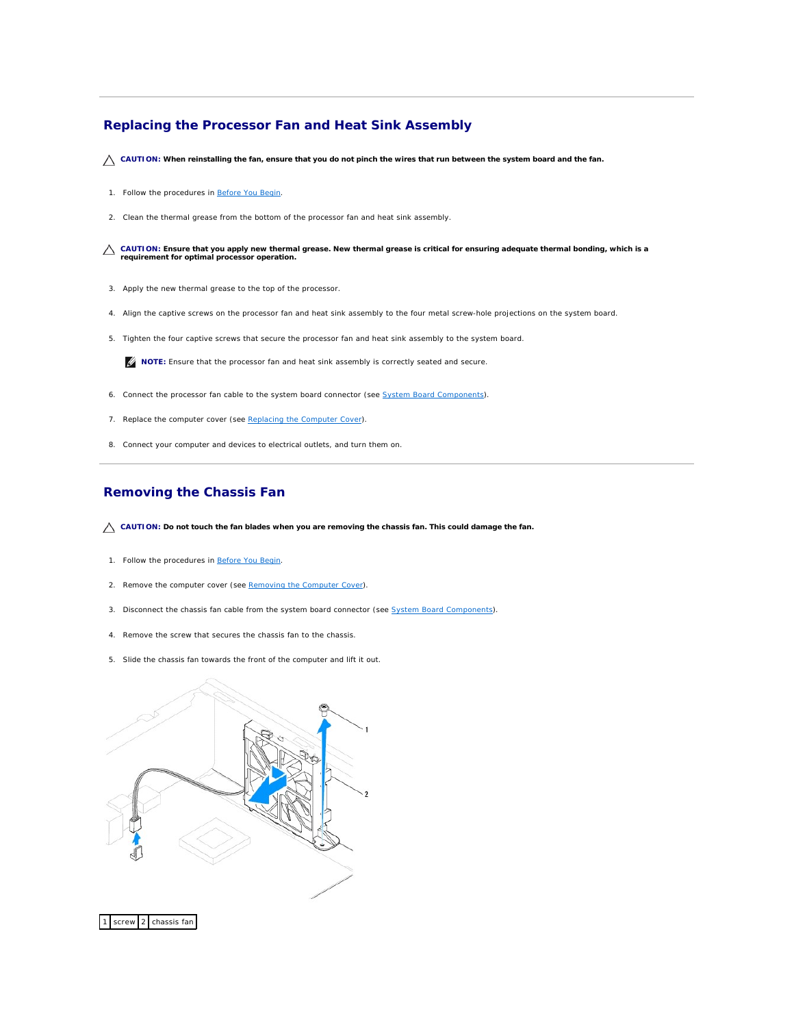# <span id="page-23-1"></span><span id="page-23-0"></span>**Replacing the Processor Fan and Heat Sink Assembly**

 $\triangle$  CAUTION: When reinstalling the fan, ensure that you do not pinch the wires that run between the system board and the fan.

- 1. Follow the procedures in **[Before You Begin](file:///C:/data/systems/insp560st/en/sm/before.htm#wp1142684)**.
- 2. Clean the thermal grease from the bottom of the processor fan and heat sink assembly.

**CAUTION: Ensure that you apply new thermal grease. New thermal grease is critical for ensuring adequate thermal bonding, which is a requirement for optimal processor operation.**

- 3. Apply the new thermal grease to the top of the processor.
- 4. Align the captive screws on the processor fan and heat sink assembly to the four metal screw-hole projections on the system board.
- 5. Tighten the four captive screws that secure the processor fan and heat sink assembly to the system board.

**NOTE:** Ensure that the processor fan and heat sink assembly is correctly seated and secure.

- 6. Connect the processor fan cable to the system board connector (see [System Board Components](file:///C:/data/systems/insp560st/en/sm/techov.htm#wp1206583)).
- 7. Replace the computer cover (see [Replacing the Computer Cover](file:///C:/data/systems/insp560st/en/sm/cover.htm#wp1189467)).
- 8. Connect your computer and devices to electrical outlets, and turn them on.

## <span id="page-23-2"></span>**Removing the Chassis Fan**

- CAUTION: Do not touch the fan blades when you are removing the chassis fan. This could damage the fan.
- 1. Follow the procedures in [Before You Begin](file:///C:/data/systems/insp560st/en/sm/before.htm#wp1142684).
- 2. Remove the computer cover (see [Removing the Computer Cover\)](file:///C:/data/systems/insp560st/en/sm/cover.htm#wp1189404).
- 3. Disconnect the chassis fan cable from the system board connector (see [System Board Components](file:///C:/data/systems/insp560st/en/sm/techov.htm#wp1206583)).
- 4. Remove the screw that secures the chassis fan to the chassis.
- 5. Slide the chassis fan towards the front of the computer and lift it out.



screw 2 chassis fan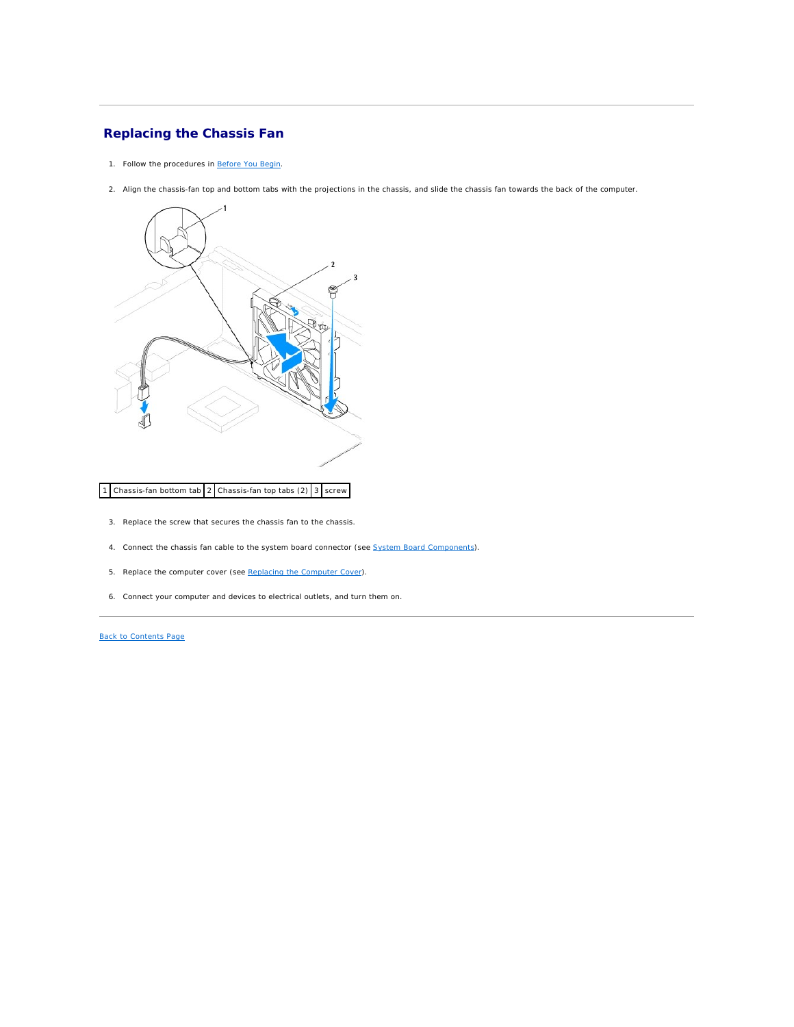# <span id="page-24-0"></span>**Replacing the Chassis Fan**

- 1. Follow the procedures in [Before You Begin](file:///C:/data/systems/insp560st/en/sm/before.htm#wp1142684).
- 2. Align the chassis-fan top and bottom tabs with the projections in the chassis, and slide the chassis fan towards the back of the computer.



## 1 Chassis-fan bottom tab 2 Chassis-fan top tabs  $(2)$  3 screw

- 3. Replace the screw that secures the chassis fan to the chassis.
- 4. Connect the chassis fan cable to the system board connector (see [System Board Components\)](file:///C:/data/systems/insp560st/en/sm/techov.htm#wp1206583).
- 5. Replace the computer cover (see [Replacing the Computer Cover](file:///C:/data/systems/insp560st/en/sm/cover.htm#wp1189467)).
- 6. Connect your computer and devices to electrical outlets, and turn them on.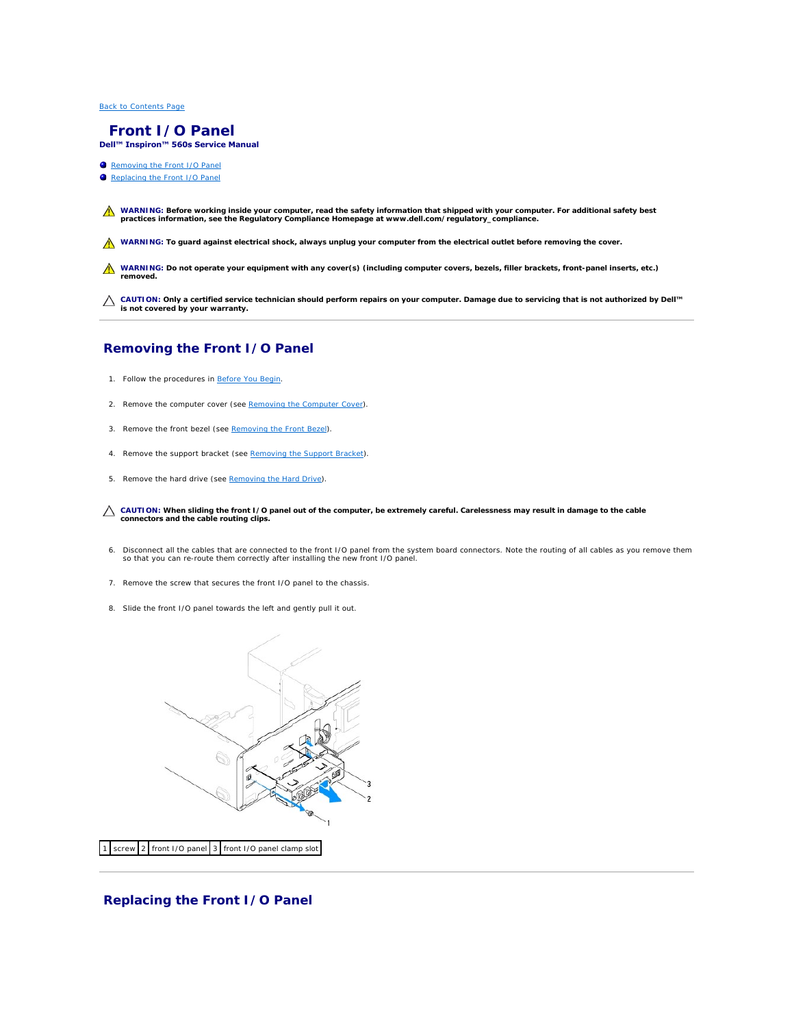#### <span id="page-25-0"></span> **Front I/O Panel Dell™ Inspiron™ 560s Service Manual**

- Removing the Front I/O Panel
- **C** Replacing the Front I/O Panel

WARNING: Before working inside your computer, read the safety information that shipped with your computer. For additional safety best<br>practices information, see the Regulatory Compliance Homepage at www.dell.com/regulatory

WARNING: To guard against electrical shock, always unplug your computer from the electrical outlet before removing the cover.

WARNING: Do not operate your equipment with any cover(s) (including computer covers, bezels, filler brackets, front-panel inserts, etc.) **removed.** 

**CAUTION: Only a certified service technician should perform repairs on your computer. Damage due to servicing that is not authorized by Dell™ is not covered by your warranty.**

# <span id="page-25-1"></span>**Removing the Front I/O Panel**

- 1. Follow the procedures in [Before You Begin](file:///C:/data/systems/insp560st/en/sm/before.htm#wp1142684).
- 2. Remove the computer cover (see [Removing the Computer Cover\)](file:///C:/data/systems/insp560st/en/sm/cover.htm#wp1189404).
- 3. Remove the front bezel (see [Removing the Front Bezel](file:///C:/data/systems/insp560st/en/sm/bezel.htm#wp1181855)).
- 4. Remove the support bracket (see [Removing the Support Bracket](file:///C:/data/systems/insp560st/en/sm/bracket.htm#wp1189054)).
- 5. Remove the hard drive (see [Removing the Hard Drive\)](file:///C:/data/systems/insp560st/en/sm/drives.htm#wp1202258).
- **CAUTION: When sliding the front I/O panel out of the computer, be extremely careful. Carelessness may result in damage to the cable connectors and the cable routing clips.**
- 6. Disconnect all the cables that are connected to the front I/O panel from the system board connectors. Note the routing of all cables as you remove them<br>so that you can re-route them correctly after installing the new fr
- 7. Remove the screw that secures the front I/O panel to the chassis.
- 8. Slide the front I/O panel towards the left and gently pull it out.



## <span id="page-25-2"></span>**Replacing the Front I/O Panel**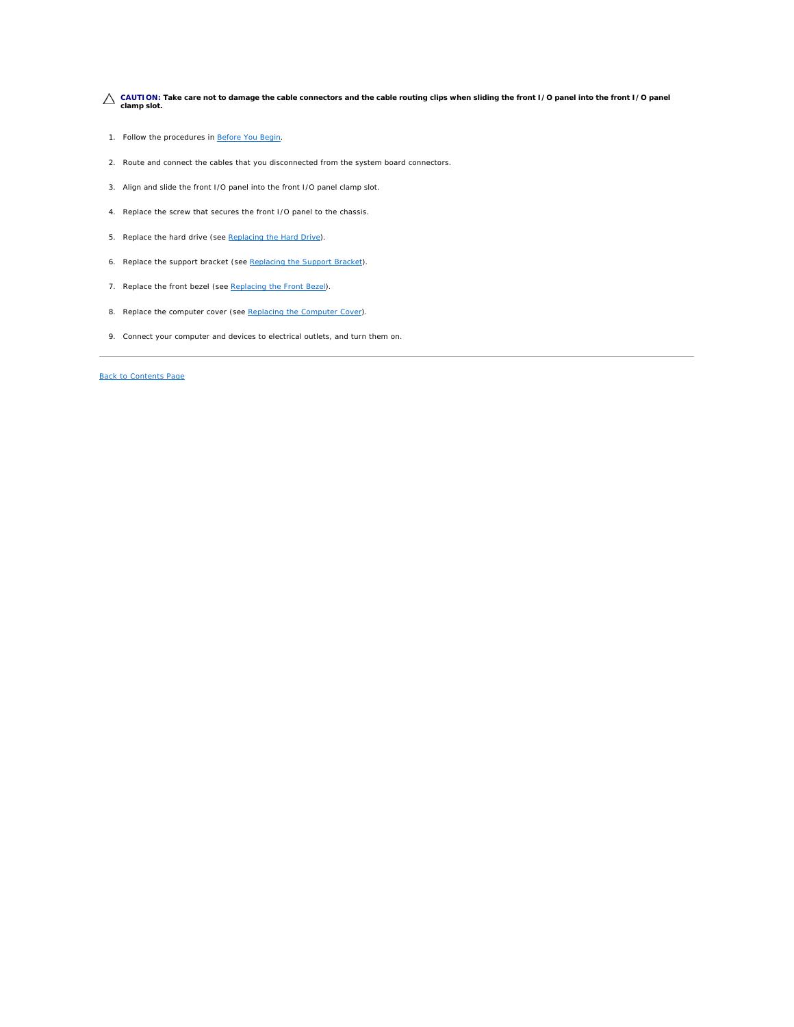**CAUTION: Take care not to damage the cable connectors and the cable routing clips when sliding the front I/O panel into the front I/O panel clamp slot.**

- 1. Follow the procedures in [Before You Begin](file:///C:/data/systems/insp560st/en/sm/before.htm#wp1142684).
- 2. Route and connect the cables that you disconnected from the system board connectors.
- 3. Align and slide the front I/O panel into the front I/O panel clamp slot.
- 4. Replace the screw that secures the front I/O panel to the chassis.
- 5. Replace the hard drive (see [Replacing the Hard Drive](file:///C:/data/systems/insp560st/en/sm/drives.htm#wp1187504)).
- 6. Replace the support bracket (see [Replacing the Support Bracket](file:///C:/data/systems/insp560st/en/sm/bracket.htm#wp1181287)).
- 7. Replace the front bezel (see [Replacing the Front Bezel](file:///C:/data/systems/insp560st/en/sm/bezel.htm#wp1181929)).
- 8. Replace the computer cover (see [Replacing the Computer Cover](file:///C:/data/systems/insp560st/en/sm/cover.htm#wp1189467)).
- 9. Connect your computer and devices to electrical outlets, and turn them on.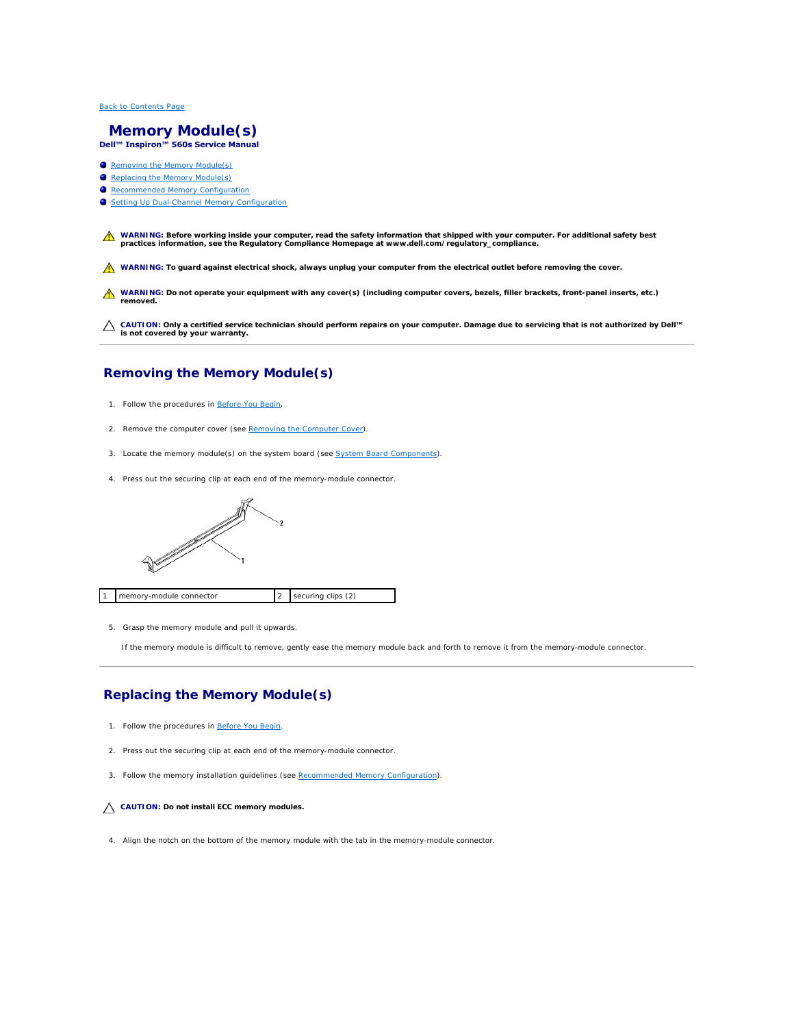#### <span id="page-27-0"></span> **Memory Module(s) Dell™ Inspiron™ 560s Service Manual**

- **C** Removing the Memory Module(s)
- Replacing the Memory Module(s)
- **Recommended Memory Configuration**
- Setting Up Dual-Channel Memory Configuration

WARNING: Before working inside your computer, read the safety information that shipped with your computer. For additional safety best<br>practices information, see the Regulatory Compliance Homepage at www.dell.com/regulatory

WARNING: To guard against electrical shock, always unplug your computer from the electrical outlet before removing the cover.

WARNING: Do not operate your equipment with any cover(s) (including computer covers, bezels, filler brackets, front-panel inserts, etc.) **removed.** 

**CAUTION: Only a certified service technician should perform repairs on your computer. Damage due to servicing that is not authorized by Dell™ is not covered by your warranty.**

# <span id="page-27-1"></span>**Removing the Memory Module(s)**

- 1. Follow the procedures in [Before You Begin](file:///C:/data/systems/insp560st/en/sm/before.htm#wp1142684).
- 2. Remove the computer cover (see [Removing the Computer Cover\)](file:///C:/data/systems/insp560st/en/sm/cover.htm#wp1189404).
- 3. Locate the memory module(s) on the system board (see [System Board Components](file:///C:/data/systems/insp560st/en/sm/techov.htm#wp1206583)).
- 4. Press out the securing clip at each end of the memory-module connector.



5. Grasp the memory module and pull it upwards.

If the memory module is difficult to remove, gently ease the memory module back and forth to remove it from the memory-module connector.

# <span id="page-27-2"></span>**Replacing the Memory Module(s)**

- 1. Follow the procedures in [Before You Begin](file:///C:/data/systems/insp560st/en/sm/before.htm#wp1142684).
- 2. Press out the securing clip at each end of the memory-module connector.
- 3. Follow the memory installation guidelines (see [Recommended Memory Configuration](#page-28-0)).

#### **CAUTION: Do not install ECC memory modules.**

4. Align the notch on the bottom of the memory module with the tab in the memory-module connector.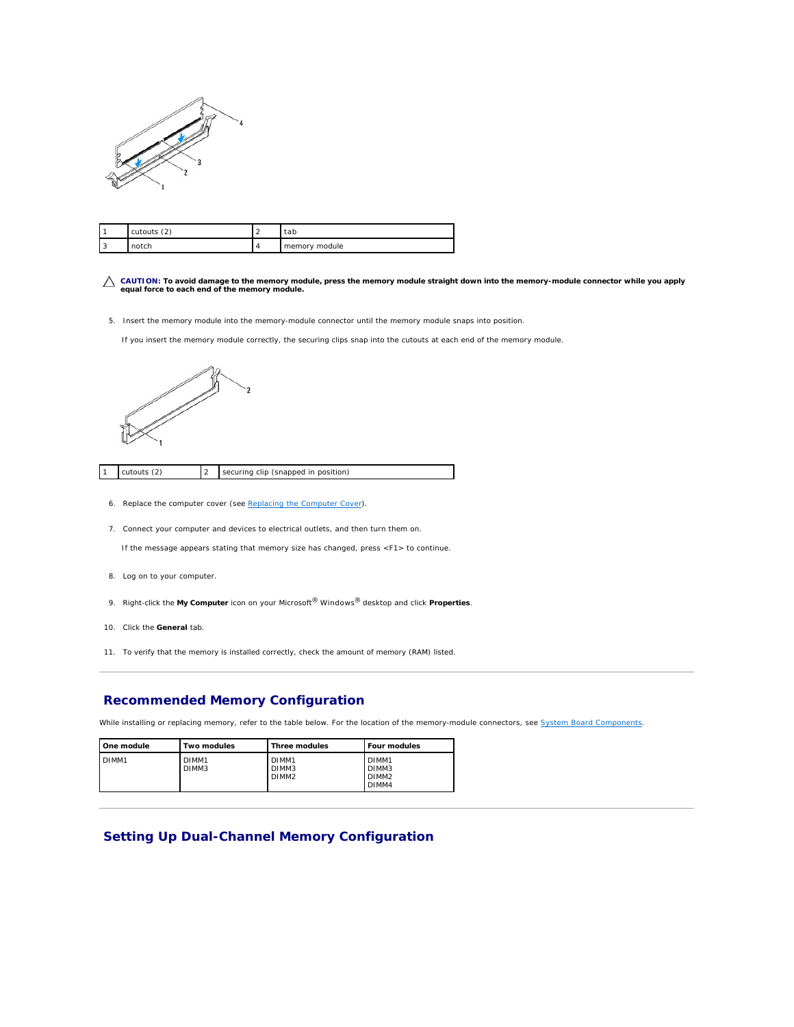<span id="page-28-2"></span>

|     | (2)<br>cutouts | tap           |
|-----|----------------|---------------|
| - - |                | memory module |

- **CAUTION: To avoid damage to the memory module, press the memory module straight down into the memory-module connector while you apply equal force to each end of the memory module.**
- 5. Insert the memory module into the memory-module connector until the memory module snaps into position.
	- If you insert the memory module correctly, the securing clips snap into the cutouts at each end of the memory module.



cutouts (2) 2 securing clip (snapped in position)

- 6. Replace the computer cover (see [Replacing the Computer Cover](file:///C:/data/systems/insp560st/en/sm/cover.htm#wp1189467)).
- 7. Connect your computer and devices to electrical outlets, and then turn them on.

If the message appears stating that memory size has changed, press <F1> to continue.

- 8. Log on to your computer.
- 9. Right-click the **My Computer** icon on your Microsoft® Windows® desktop and click **Properties**.
- 10. Click the **General** tab.
- 11. To verify that the memory is installed correctly, check the amount of memory (RAM) listed.

#### <span id="page-28-0"></span>**Recommended Memory Configuration**

While installing or replacing memory, refer to the table below. For the location of the memory-module connectors, see [System Board Components](file:///C:/data/systems/insp560st/en/sm/techov.htm#wp1206583).

| I One module      | Two modules                | Three modules                       | Four modules                                             |
|-------------------|----------------------------|-------------------------------------|----------------------------------------------------------|
| DIMM <sub>1</sub> | DIMM <sub>1</sub><br>DIMM3 | DIMM1<br>DIMM3<br>DIMM <sub>2</sub> | DIMM <sub>1</sub><br>DIMM3<br>DIMM <sub>2</sub><br>DIMM4 |

# <span id="page-28-1"></span>**Setting Up Dual-Channel Memory Configuration**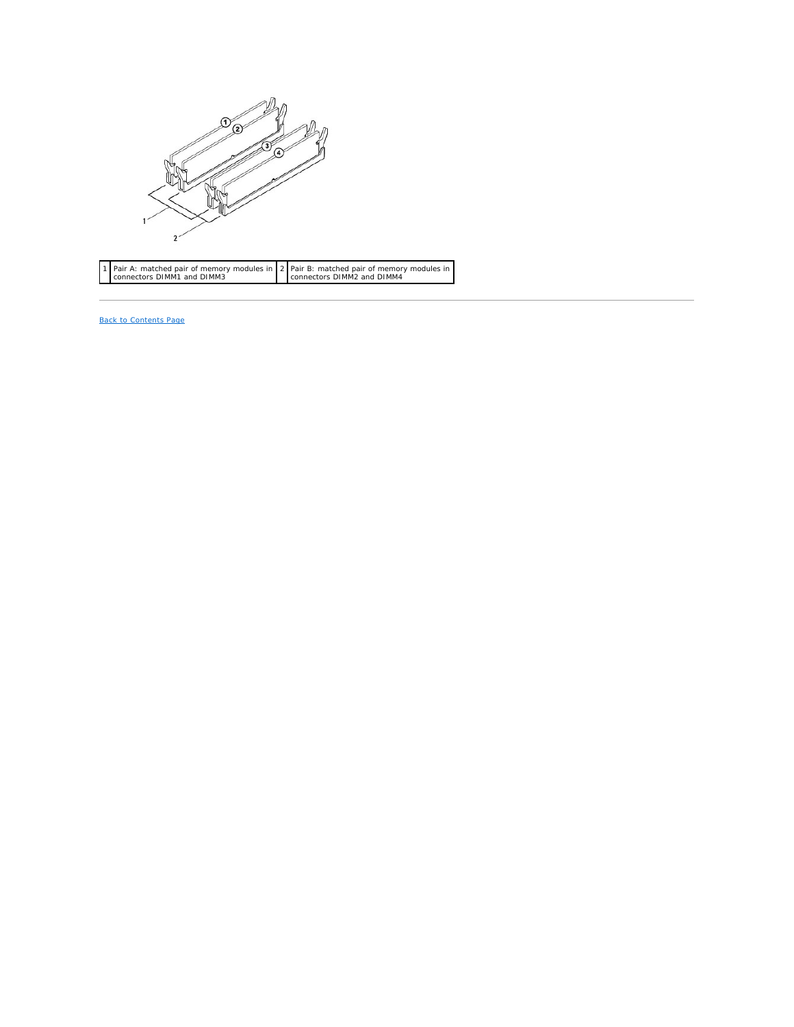

 Pair A: matched pair of memory modules in connectors DIMM1 and DIMM3 Pair B: matched pair of memory modules in connectors DIMM2 and DIMM4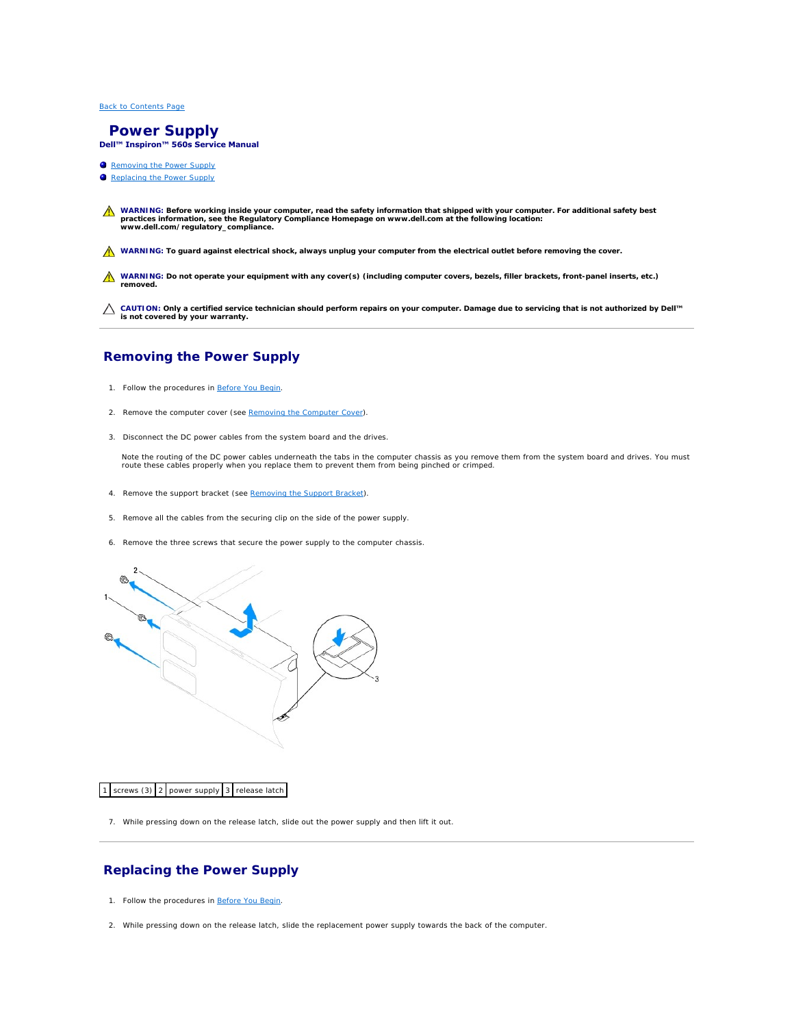#### <span id="page-30-0"></span> **Power Supply Dell™ Inspiron™ 560s Service Manual**

- Removing the Power Supply
- Replacing the Power Supply
- WARNING: Before working inside your computer, read the safety information that shipped with your computer. For additional safety best<br>practices information, see the Regulatory Compliance Homepage on www.dell.com at the fol
- WARNING: To guard against electrical shock, always unplug your computer from the electrical outlet before removing the cover.
- **WARNING: Do not operate your equipment with any cover(s) (including computer covers, bezels, filler brackets, front-panel inserts, etc.) removed.**

**CAUTION: Only a certified service technician should perform repairs on your computer. Damage due to servicing that is not authorized by Dell™ is not covered by your warranty.**

# <span id="page-30-1"></span>**Removing the Power Supply**

- 1. Follow the procedures in [Before You Begin](file:///C:/data/systems/insp560st/en/sm/before.htm#wp1142684).
- 2. Remove the computer cover (see [Removing the Computer Cover\)](file:///C:/data/systems/insp560st/en/sm/cover.htm#wp1189404).
- 3. Disconnect the DC power cables from the system board and the drives.

Note the routing of the DC power cables underneath the tabs in the computer chassis as you remove them from the system board and drives. You must<br>route these cables properly when you replace them to prevent them from being

- 4. Remove the support bracket (see [Removing the Support Bracket](file:///C:/data/systems/insp560st/en/sm/bracket.htm#wp1189054)).
- 5. Remove all the cables from the securing clip on the side of the power supply.
- 6. Remove the three screws that secure the power supply to the computer chassis.



1 screws (3) 2 power supply 3 release latch

7. While pressing down on the release latch, slide out the power supply and then lift it out.

# <span id="page-30-2"></span>**Replacing the Power Supply**

- 1. Follow the procedures in [Before You Begin](file:///C:/data/systems/insp560st/en/sm/before.htm#wp1142684).
- 2. While pressing down on the release latch, slide the replacement power supply towards the back of the computer.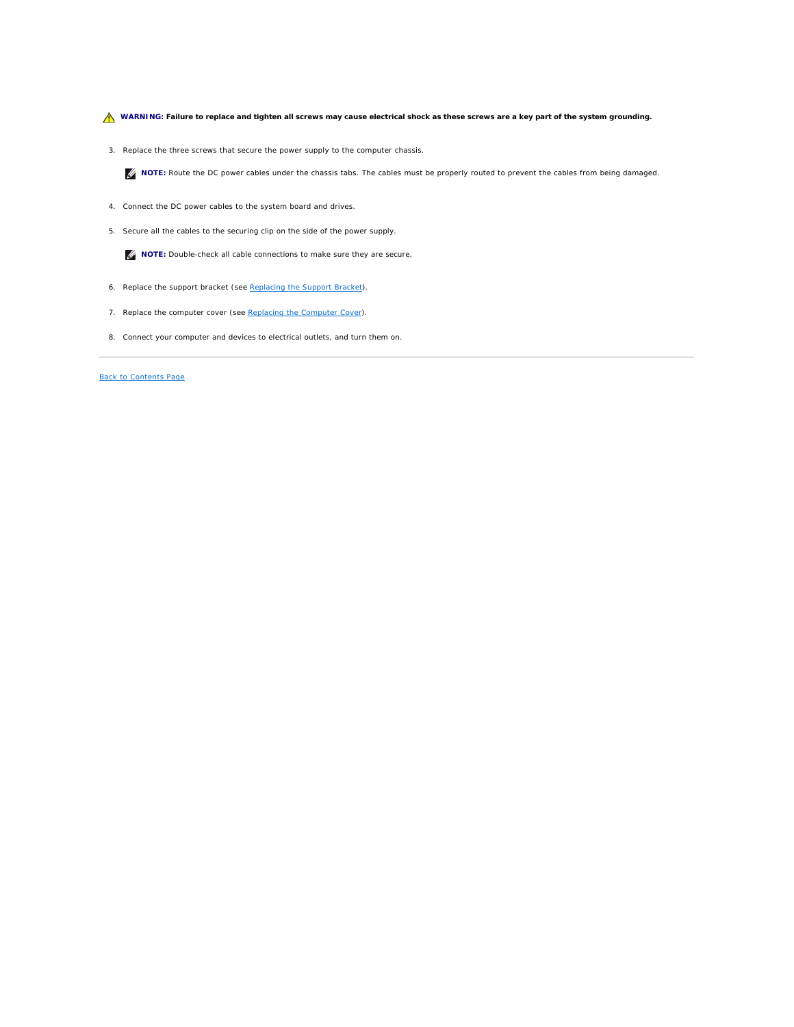WARNING: Failure to replace and tighten all screws may cause electrical shock as these screws are a key part of the system grounding.

3. Replace the three screws that secure the power supply to the computer chassis.

**INOTE:** Route the DC power cables under the chassis tabs. The cables must be properly routed to prevent the cables from being damaged.

- 4. Connect the DC power cables to the system board and drives.
- 5. Secure all the cables to the securing clip on the side of the power supply.

**NOTE:** Double-check all cable connections to make sure they are secure.

- 6. Replace the support bracket (see [Replacing the Support Bracket](file:///C:/data/systems/insp560st/en/sm/bracket.htm#wp1181287)).
- 7. Replace the computer cover (see [Replacing the Computer Cover](file:///C:/data/systems/insp560st/en/sm/cover.htm#wp1189467)).
- 8. Connect your computer and devices to electrical outlets, and turn them on.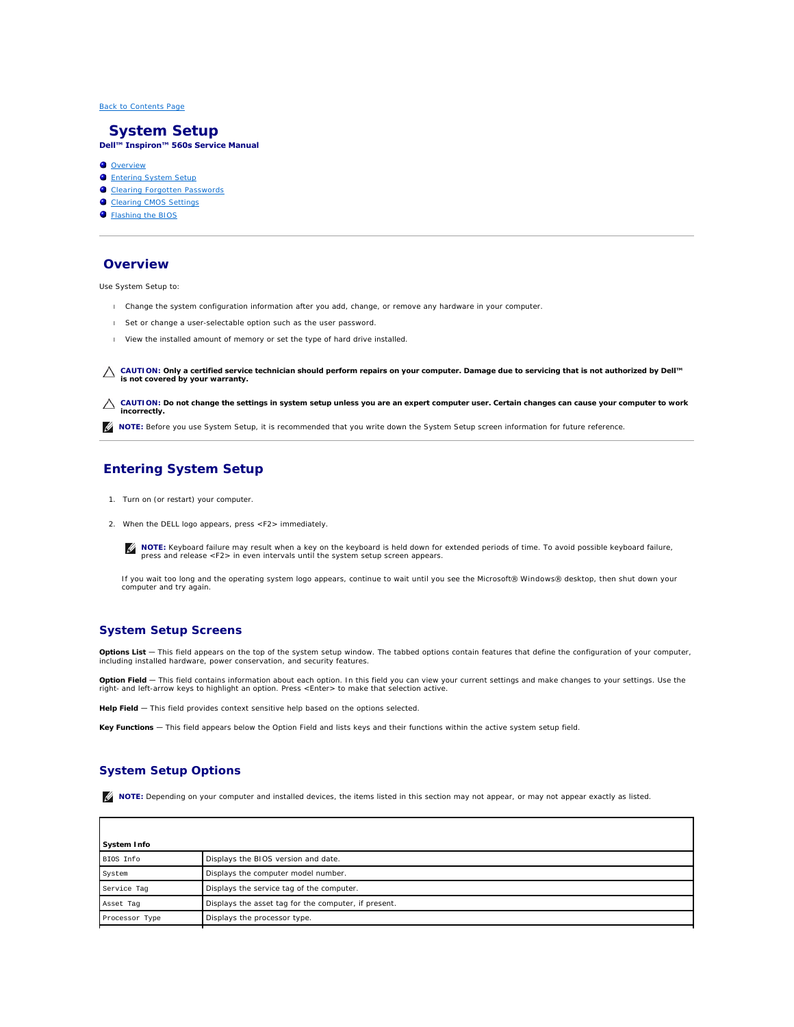#### <span id="page-32-0"></span> **System Setup Dell™ Inspiron™ 560s Service Manual**

- **O** Overview
- **O** Entering System Setup
- **O** Clearing Forgotten Passwords
- Clearing CMOS Settings
- Flashing the BIOS

# <span id="page-32-1"></span>**Overview**

Use System Setup to:

- l Change the system configuration information after you add, change, or remove any hardware in your computer.
- 1 Set or change a user-selectable option such as the user password.
- l View the installed amount of memory or set the type of hard drive installed.

**CAUTION: Only a certified service technician should perform repairs on your computer. Damage due to servicing that is not authorized by Dell™ is not covered by your warranty.**

**CAUTION: Do not change the settings in system setup unless you are an expert computer user. Certain changes can cause your computer to work incorrectly.**

**IG NOTE:** Before you use System Setup, it is recommended that you write down the System Setup screen information for future reference.

# <span id="page-32-2"></span>**Entering System Setup**

- 1. Turn on (or restart) your computer.
- 2. When the DELL logo appears, press <F2> immediately.

**NOTE:** Keyboard failure may result when a key on the keyboard is held down for extended periods of time. To avoid possible keyboard failure,<br>press and release <F2> in even intervals until the system setup screen appears.

If you wait too long and the operating system logo appears, continue to wait until you see the Microsoft® Windows® desktop, then shut down your computer and try again.

## **System Setup Screens**

**Options List —** This field appears on the top of the system setup window. The tabbed options contain features that define the configuration of your computer,<br>including installed hardware, power conservation, and security

**Option Field —** This field contains information about each option. In this field you can view your current settings and make changes to your settings. Use the<br>right- and left-arrow keys to highlight an option. Press <Ente

Help Field - This field provides context sensitive help based on the options selected.

**Key Functions** — This field appears below the Option Field and lists keys and their functions within the active system setup field.

# **System Setup Options**

**I** NOTE: Depending on your computer and installed devices, the items listed in this section may not appear, or may not appear exactly as listed.

| System Info    |                                                      |  |
|----------------|------------------------------------------------------|--|
| BIOS Info      | Displays the BIOS version and date.                  |  |
| System         | Displays the computer model number.                  |  |
| Service Tag    | Displays the service tag of the computer.            |  |
| Asset Tag      | Displays the asset tag for the computer, if present. |  |
| Processor Type | Displays the processor type.                         |  |
|                |                                                      |  |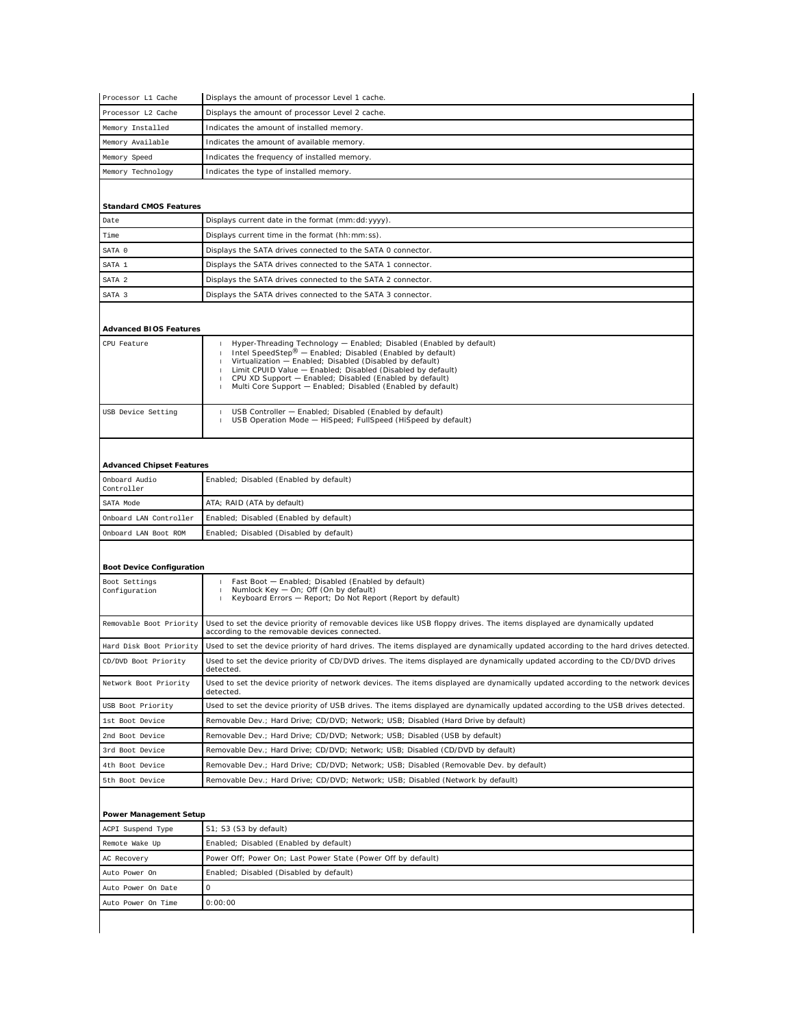| Processor L1 Cache               | Displays the amount of processor Level 1 cache.                                                                                                                           |
|----------------------------------|---------------------------------------------------------------------------------------------------------------------------------------------------------------------------|
| Processor L2 Cache               | Displays the amount of processor Level 2 cache.                                                                                                                           |
| Memory Installed                 | Indicates the amount of installed memory.                                                                                                                                 |
| Memory Available                 | Indicates the amount of available memory.                                                                                                                                 |
| Memory Speed                     | Indicates the frequency of installed memory.                                                                                                                              |
| Memory Technology                | Indicates the type of installed memory.                                                                                                                                   |
|                                  |                                                                                                                                                                           |
| <b>Standard CMOS Features</b>    |                                                                                                                                                                           |
| Date                             | Displays current date in the format (mm: dd: yyyy).                                                                                                                       |
| Time                             | Displays current time in the format (hh: mm: ss)                                                                                                                          |
| SATA 0                           | Displays the SATA drives connected to the SATA 0 connector.                                                                                                               |
| SATA 1                           | Displays the SATA drives connected to the SATA 1 connector.                                                                                                               |
| SATA 2                           | Displays the SATA drives connected to the SATA 2 connector.                                                                                                               |
| SATA 3                           | Displays the SATA drives connected to the SATA 3 connector.                                                                                                               |
|                                  |                                                                                                                                                                           |
|                                  |                                                                                                                                                                           |
| <b>Advanced BIOS Features</b>    |                                                                                                                                                                           |
| CPU Feature                      | Hyper-Threading Technology - Enabled; Disabled (Enabled by default)<br>1<br>Intel SpeedStep® - Enabled; Disabled (Enabled by default)<br>1                                |
|                                  | Virtualization - Enabled; Disabled (Disabled by default)<br>1<br>Limit CPUID Value - Enabled; Disabled (Disabled by default)<br>$\mathbf{I}$                              |
|                                  | CPU XD Support - Enabled; Disabled (Enabled by default)<br>$\mathbf{1}$                                                                                                   |
|                                  | Multi Core Support - Enabled; Disabled (Enabled by default)<br>1                                                                                                          |
| USB Device Setting               | USB Controller - Enabled; Disabled (Enabled by default)                                                                                                                   |
|                                  | USB Operation Mode - HiSpeed; FullSpeed (HiSpeed by default)<br>1                                                                                                         |
|                                  |                                                                                                                                                                           |
|                                  |                                                                                                                                                                           |
| <b>Advanced Chipset Features</b> |                                                                                                                                                                           |
| Onboard Audio<br>Controller      | Enabled; Disabled (Enabled by default)                                                                                                                                    |
| SATA Mode                        | ATA; RAID (ATA by default)                                                                                                                                                |
| Onboard LAN Controller           | Enabled; Disabled (Enabled by default)                                                                                                                                    |
| Onboard LAN Boot ROM             | Enabled; Disabled (Disabled by default)                                                                                                                                   |
|                                  |                                                                                                                                                                           |
| <b>Boot Device Configuration</b> |                                                                                                                                                                           |
| Boot Settings                    | Fast Boot - Enabled; Disabled (Enabled by default)                                                                                                                        |
| Configuration                    | Numlock Key - On; Off (On by default)<br>$\mathbf{1}$<br>Keyboard Errors - Report; Do Not Report (Report by default)<br>$\mathbf{I}$                                      |
|                                  |                                                                                                                                                                           |
| Removable Boot Priority          | Used to set the device priority of removable devices like USB floppy drives. The items displayed are dynamically updated<br>according to the removable devices connected. |
| Hard Disk Boot Priority          | Used to set the device priority of hard drives. The items displayed are dynamically updated according to the hard drives detected.                                        |
| CD/DVD Boot Priority             | Used to set the device priority of CD/DVD drives. The items displayed are dynamically updated according to the CD/DVD drives                                              |
|                                  | detected.                                                                                                                                                                 |
| Network Boot Priority            | Used to set the device priority of network devices. The items displayed are dynamically updated according to the network devices<br>detected.                             |
| USB Boot Priority                | Used to set the device priority of USB drives. The items displayed are dynamically updated according to the USB drives detected.                                          |
| 1st Boot Device                  | Removable Dev.; Hard Drive; CD/DVD; Network; USB; Disabled (Hard Drive by default)                                                                                        |
| 2nd Boot Device                  | Removable Dev.; Hard Drive; CD/DVD; Network; USB; Disabled (USB by default)                                                                                               |
| 3rd Boot Device                  | Removable Dev.; Hard Drive; CD/DVD; Network; USB; Disabled (CD/DVD by default)                                                                                            |
| 4th Boot Device                  | Removable Dev.; Hard Drive; CD/DVD; Network; USB; Disabled (Removable Dev. by default)                                                                                    |
| 5th Boot Device                  | Removable Dev.; Hard Drive; CD/DVD; Network; USB; Disabled (Network by default)                                                                                           |
|                                  |                                                                                                                                                                           |
| Power Management Setup           |                                                                                                                                                                           |
| ACPI Suspend Type                | S1; S3 (S3 by default)                                                                                                                                                    |
| Remote Wake Up                   | Enabled; Disabled (Enabled by default)                                                                                                                                    |
| AC Recovery                      | Power Off; Power On; Last Power State (Power Off by default)                                                                                                              |
| Auto Power On                    | Enabled; Disabled (Disabled by default)                                                                                                                                   |
| Auto Power On Date               | 0                                                                                                                                                                         |
| Auto Power On Time               | 0:00:00                                                                                                                                                                   |
|                                  |                                                                                                                                                                           |
|                                  |                                                                                                                                                                           |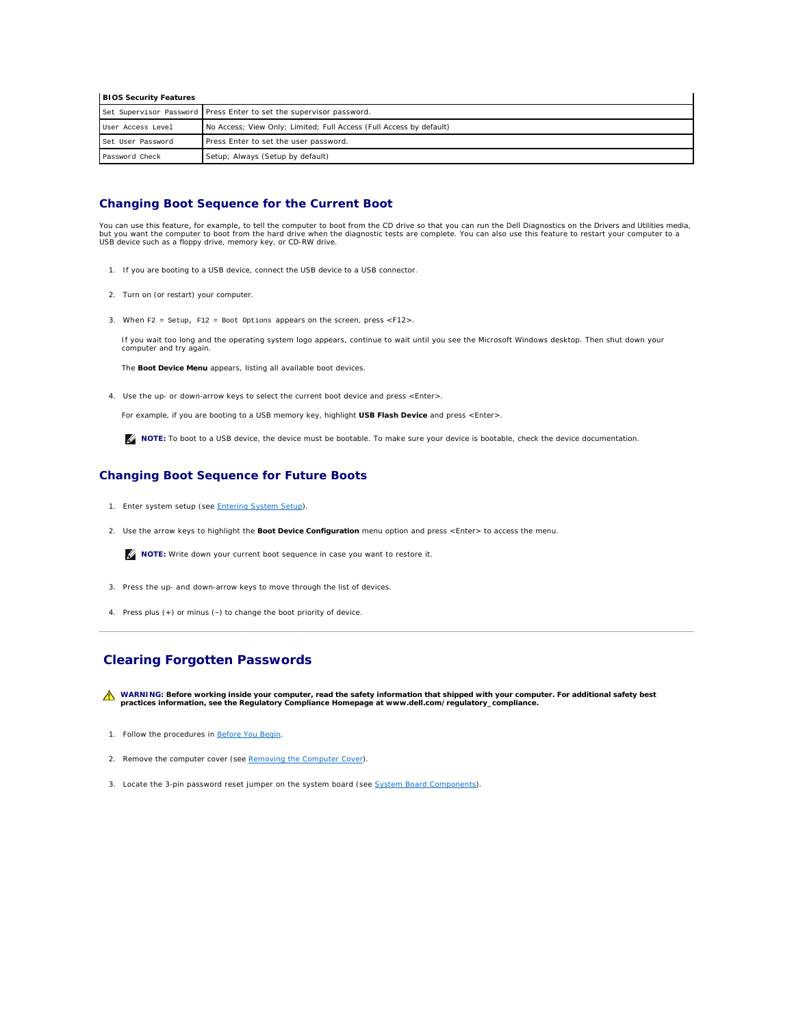| <b>BIOS Security Features</b>                                                            |                                                                     |  |
|------------------------------------------------------------------------------------------|---------------------------------------------------------------------|--|
|                                                                                          | Set Supervisor Password Press Enter to set the supervisor password. |  |
| No Access; View Only; Limited; Full Access (Full Access by default)<br>User Access Level |                                                                     |  |
| Press Enter to set the user password.<br>Set User Password                               |                                                                     |  |
| Password Check                                                                           | Setup; Always (Setup by default)                                    |  |

#### **Changing Boot Sequence for the Current Boot**

You can use this feature, for example, to tell the computer to boot from the CD drive so that you can run the Dell Diagnostics on the *Drivers and Utilities* media,<br>but you want the computer to boot from the hard drive whe USB device such as a floppy drive, memory key, or CD-RW drive.

- 1. If you are booting to a USB device, connect the USB device to a USB connector.
- 2. Turn on (or restart) your computer.
- 3. When F2 = Setup, F12 = Boot Options appears on the screen, press <F12>.

If you wait too long and the operating system logo appears, continue to wait until you see the Microsoft Windows desktop. Then shut down your computer and try again.

The **Boot Device Menu** appears, listing all available boot devices.

4. Use the up- or down-arrow keys to select the current boot device and press <Enter>.

For example, if you are booting to a USB memory key, highlight **USB Flash Device** and press <Enter>.

**IG NOTE:** To boot to a USB device, the device must be bootable. To make sure your device is bootable, check the device documentation.

#### **Changing Boot Sequence for Future Boots**

- 1. Enter system setup (see **[Entering System Setup](#page-32-2)**).
- 2. Use the arrow keys to highlight the **Boot Device Configuration** menu option and press <Enter> to access the menu.

**NOTE:** Write down your current boot sequence in case you want to restore it.

- 3. Press the up- and down-arrow keys to move through the list of devices.
- 4. Press plus (+) or minus (–) to change the boot priority of device.

# <span id="page-34-0"></span>**Clearing Forgotten Passwords**

WARNING: Before working inside your computer, read the safety information that shipped with your computer. For additional safety best<br>practices information, see the Regulatory Compliance Homepage at www.dell.com/regulatory

- 1. Follow the procedures in [Before You Begin](file:///C:/data/systems/insp560st/en/sm/before.htm#wp1142684).
- 2. Remove the computer cover (see **Removing the Computer Cover**).
- 3. Locate the 3-pin password reset jumper on the system board (see [System Board Components](file:///C:/data/systems/insp560st/en/sm/techov.htm#wp1206583))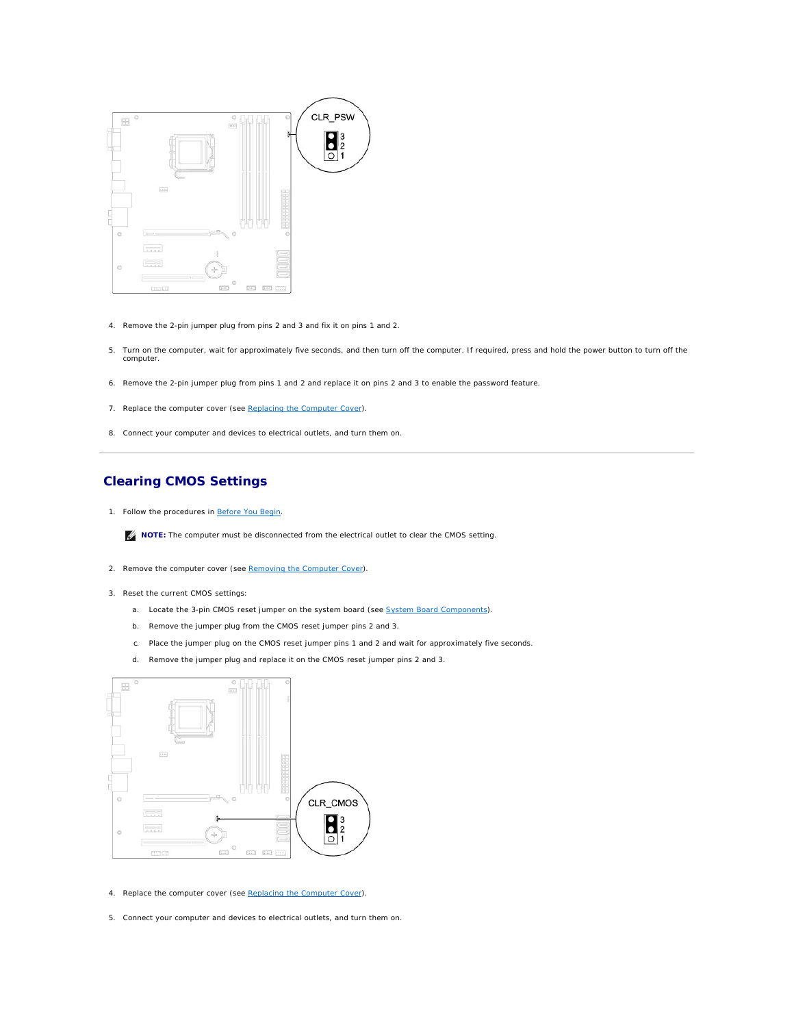

- 4. Remove the 2-pin jumper plug from pins 2 and 3 and fix it on pins 1 and 2.
- 5. Turn on the computer, wait for approximately five seconds, and then turn off the computer. If required, press and hold the power button to turn off the computer.
- 6. Remove the 2-pin jumper plug from pins 1 and 2 and replace it on pins 2 and 3 to enable the password feature.
- 7. Replace the computer cover (see [Replacing the Computer Cover](file:///C:/data/systems/insp560st/en/sm/cover.htm#wp1189467)).
- 8. Connect your computer and devices to electrical outlets, and turn them on.

# <span id="page-35-0"></span>**Clearing CMOS Settings**

1. Follow the procedures in [Before You Begin](file:///C:/data/systems/insp560st/en/sm/before.htm#wp1142684).

**NOTE:** The computer must be disconnected from the electrical outlet to clear the CMOS setting.

- 2. Remove the computer cover (see [Removing the Computer Cover\)](file:///C:/data/systems/insp560st/en/sm/cover.htm#wp1189404).
- 3. Reset the current CMOS settings:
	- a. Locate the 3-pin CMOS reset jumper on the system board (see [System Board Components\)](file:///C:/data/systems/insp560st/en/sm/techov.htm#wp1206583).
	- b. Remove the jumper plug from the CMOS reset jumper pins 2 and 3.
	- c. Place the jumper plug on the CMOS reset jumper pins 1 and 2 and wait for approximately five seconds.
	- d. Remove the jumper plug and replace it on the CMOS reset jumper pins 2 and 3.



- 4. Replace the computer cover (see [Replacing the Computer Cover](file:///C:/data/systems/insp560st/en/sm/cover.htm#wp1189467)).
- 5. Connect your computer and devices to electrical outlets, and turn them on.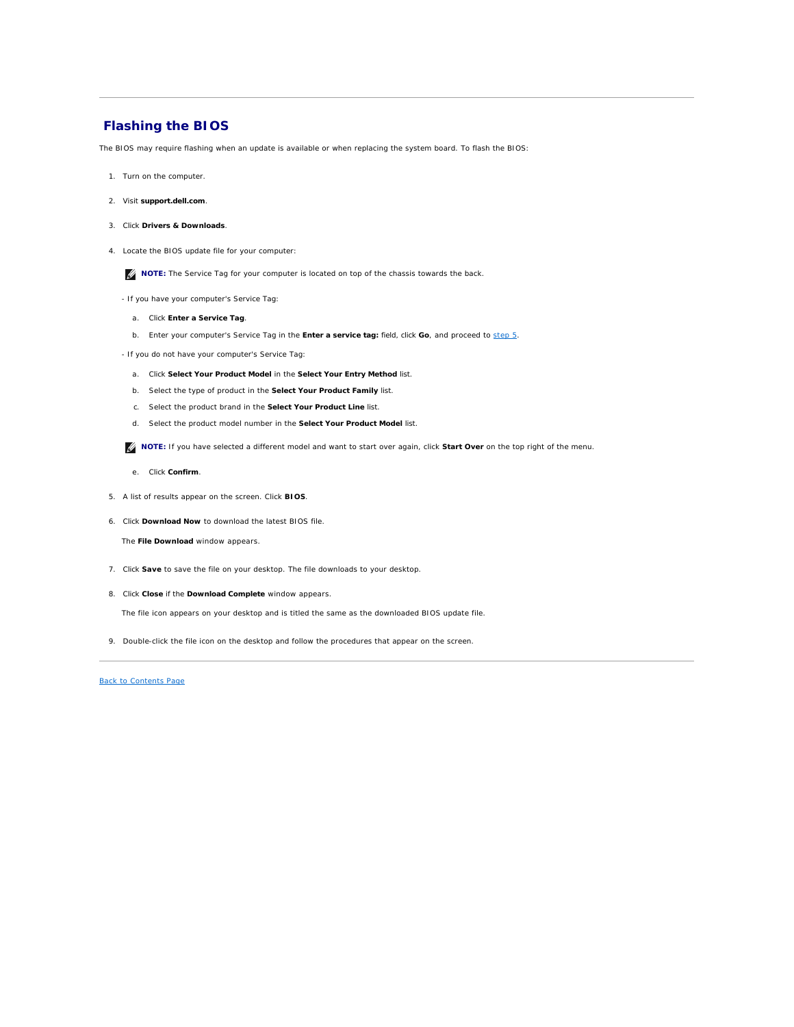## <span id="page-36-2"></span><span id="page-36-0"></span>**Flashing the BIOS**

The BIOS may require flashing when an update is available or when replacing the system board. To flash the BIOS:

- 1. Turn on the computer.
- 2. Visit **support.dell.com**.
- 3. Click **Drivers & Downloads**.
- 4. Locate the BIOS update file for your computer:

**NOTE:** The Service Tag for your computer is located on top of the chassis towards the back.

- If you have your computer's Service Tag:
	- a. Click **Enter a Service Tag**.
	- b. Enter your computer's Service Tag in the **Enter a service tag:** field, click **Go**, and proceed to [step 5.](#page-36-1)
- If you do not have your computer's Service Tag:
	- a. Click **Select Your Product Model** in the **Select Your Entry Method** list.
	- b. Select the type of product in the **Select Your Product Family** list.
	- c. Select the product brand in the **Select Your Product Line** list.
	- d. Select the product model number in the **Select Your Product Model** list.

**IF NOTE:** If you have selected a different model and want to start over again, click **Start Over** on the top right of the menu.

- e. Click **Confirm**.
- <span id="page-36-1"></span>5. A list of results appear on the screen. Click **BIOS**.
- 6. Click **Download Now** to download the latest BIOS file.

The **File Download** window appears.

- 7. Click **Save** to save the file on your desktop. The file downloads to your desktop.
- 8. Click **Close** if the **Download Complete** window appears.

The file icon appears on your desktop and is titled the same as the downloaded BIOS update file.

9. Double-click the file icon on the desktop and follow the procedures that appear on the screen.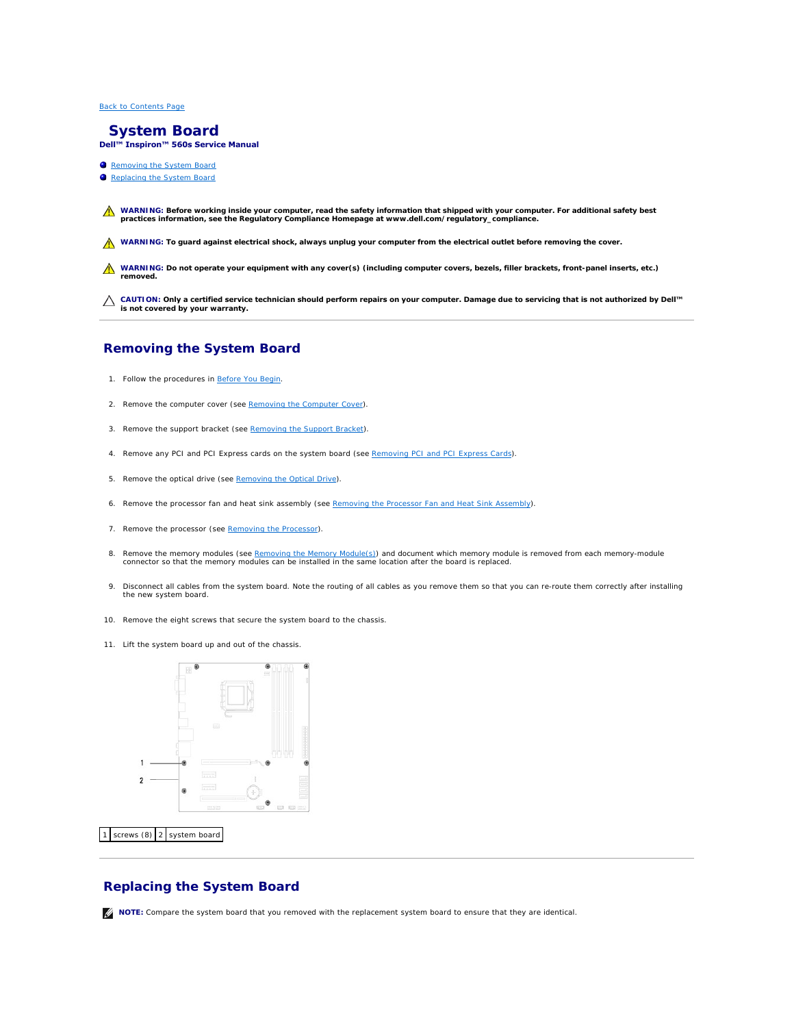#### <span id="page-37-0"></span> **System Board Dell™ Inspiron™ 560s Service Manual**

- Removing the System Board
- Replacing the System Board

WARNING: Before working inside your computer, read the safety information that shipped with your computer. For additional safety best<br>practices information, see the Regulatory Compliance Homepage at www.dell.com/regulatory

**WARNING: To guard against electrical shock, always unplug your computer from the electrical outlet before removing the cover.** 

WARNING: Do not operate your equipment with any cover(s) (including computer covers, bezels, filler brackets, front-panel inserts, etc.) **removed.** 

**CAUTION: Only a certified service technician should perform repairs on your computer. Damage due to servicing that is not authorized by Dell™ is not covered by your warranty.**

# <span id="page-37-1"></span>**Removing the System Board**

- 1. Follow the procedures in [Before You Begin](file:///C:/data/systems/insp560st/en/sm/before.htm#wp1142684).
- 2. Remove the computer cover (see [Removing the Computer Cover\)](file:///C:/data/systems/insp560st/en/sm/cover.htm#wp1189404).
- 3. Remove the support bracket (see [Removing the Support Bracket](file:///C:/data/systems/insp560st/en/sm/bracket.htm#wp1189054)).
- 4. Remove any PCI and PCI Express cards on the system board (see [Removing PCI and PCI Express Cards\)](file:///C:/data/systems/insp560st/en/sm/cards.htm#wp1209355).
- 5. Remove the optical drive (see [Removing the Optical Drive](file:///C:/data/systems/insp560st/en/sm/drives.htm#wp1202611)).
- 6. Remove the processor fan and heat sink assembly (see [Removing the Processor Fan and Heat Sink Assembly](file:///C:/data/systems/insp560st/en/sm/fan.htm#wp1180146)).
- 7. Remove the processor (see [Removing the Processor](file:///C:/data/systems/insp560st/en/sm/cpu.htm#wp1182904)).
- 8. Remove the memory modules (see <u>Removing the Memory Module(s</u>)) and document which memory module is removed from each memory-module<br>connector so that the memory modules can be installed in the same location after the bo
- 9. Disconnect all cables from the system board. Note the routing of all cables as you remove them so that you can re-route them correctly after installing the new system board.
- 10. Remove the eight screws that secure the system board to the chassis.
- 11. Lift the system board up and out of the chassis.



## 1 screws (8) 2 system board

# <span id="page-37-2"></span>**Replacing the System Board**

**NOTE:** Compare the system board that you removed with the replacement system board to ensure that they are identical.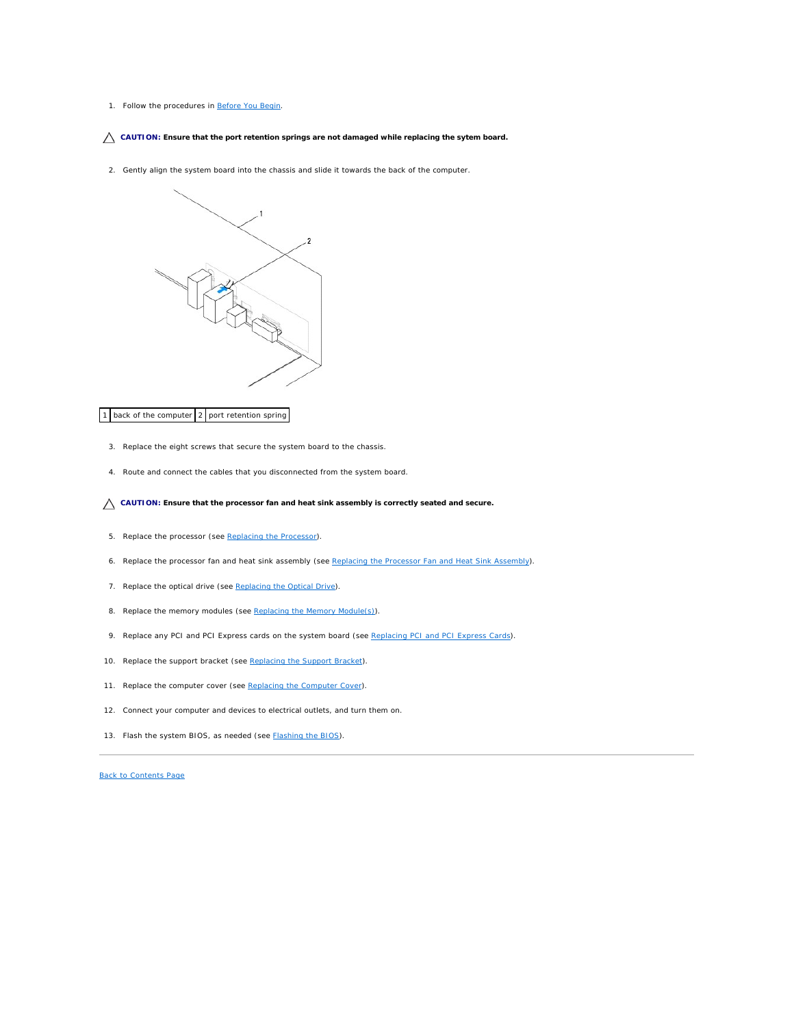#### 1. Follow the procedures in [Before You Begin](file:///C:/data/systems/insp560st/en/sm/before.htm#wp1142684).

#### **CAUTION: Ensure that the port retention springs are not damaged while replacing the sytem board.**

2. Gently align the system board into the chassis and slide it towards the back of the computer.



#### 1 back of the computer 2 port retention spring

- 3. Replace the eight screws that secure the system board to the chassis.
- 4. Route and connect the cables that you disconnected from the system board.

#### **CAUTION: Ensure that the processor fan and heat sink assembly is correctly seated and secure.**

- 5. Replace the processor (see [Replacing the Processor](file:///C:/data/systems/insp560st/en/sm/cpu.htm#wp1183018)).
- 6. Replace the processor fan and heat sink assembly (see [Replacing the Processor Fan and Heat Sink Assembly](file:///C:/data/systems/insp560st/en/sm/fan.htm#wp1193789)).
- 7. Replace the optical drive (see [Replacing the Optical Drive](file:///C:/data/systems/insp560st/en/sm/drives.htm#wp1187801)).
- 8. Replace the memory modules (see [Replacing the Memory Module\(s\)](file:///C:/data/systems/insp560st/en/sm/memory.htm#wp1181618)).
- 9. Replace any PCI and PCI Express cards on the system board (see [Replacing PCI and PCI Express Cards\)](file:///C:/data/systems/insp560st/en/sm/cards.htm#wp1180416).
- 10. Replace the support bracket (see [Replacing the Support Bracket](file:///C:/data/systems/insp560st/en/sm/bracket.htm#wp1181287)).
- 11. Replace the computer cover (see [Replacing the Computer Cover](file:///C:/data/systems/insp560st/en/sm/cover.htm#wp1189467)).
- 12. Connect your computer and devices to electrical outlets, and turn them on.
- 13. Flash the system BIOS, as needed (see [Flashing the BIOS\)](file:///C:/data/systems/insp560st/en/sm/setup.htm#wp1167335).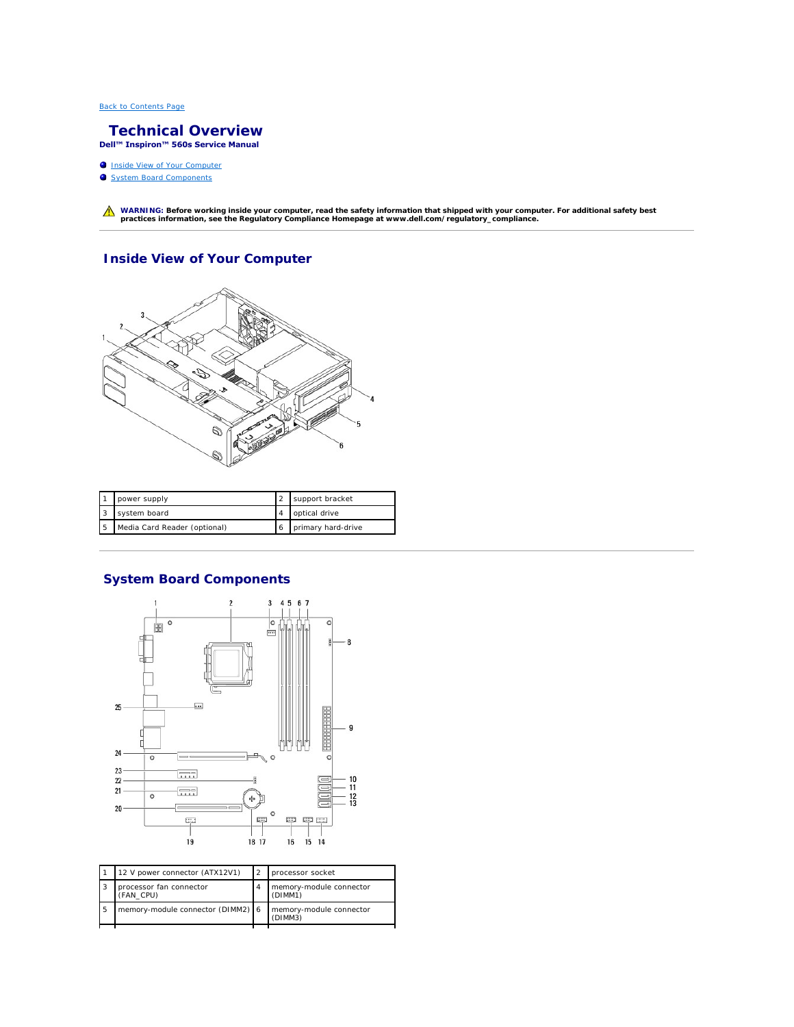#### <span id="page-39-0"></span> **Technical Overview Dell™ Inspiron™ 560s Service Manual**

- **Inside View of Your Computer**
- **System Board Components**

WARNING: Before working inside your computer, read the safety information that shipped with your computer. For additional safety best<br>practices information, see the Regulatory Compliance Homepage at www.dell.com/regulatory

# <span id="page-39-1"></span>**Inside View of Your Computer**



| power supply                 | support bracket    |
|------------------------------|--------------------|
| system board                 | optical drive      |
| Media Card Reader (optional) | primary hard-drive |

# <span id="page-39-2"></span>**System Board Components**



|    | 12 V power connector (ATX12V1)       | processor socket                   |
|----|--------------------------------------|------------------------------------|
| 13 | processor fan connector<br>(FAN CPU) | memory-module connector<br>(DIMM1) |
| 5  | memory-module connector (DIMM2) 6    | memory-module connector<br>(DIMM3) |
|    |                                      |                                    |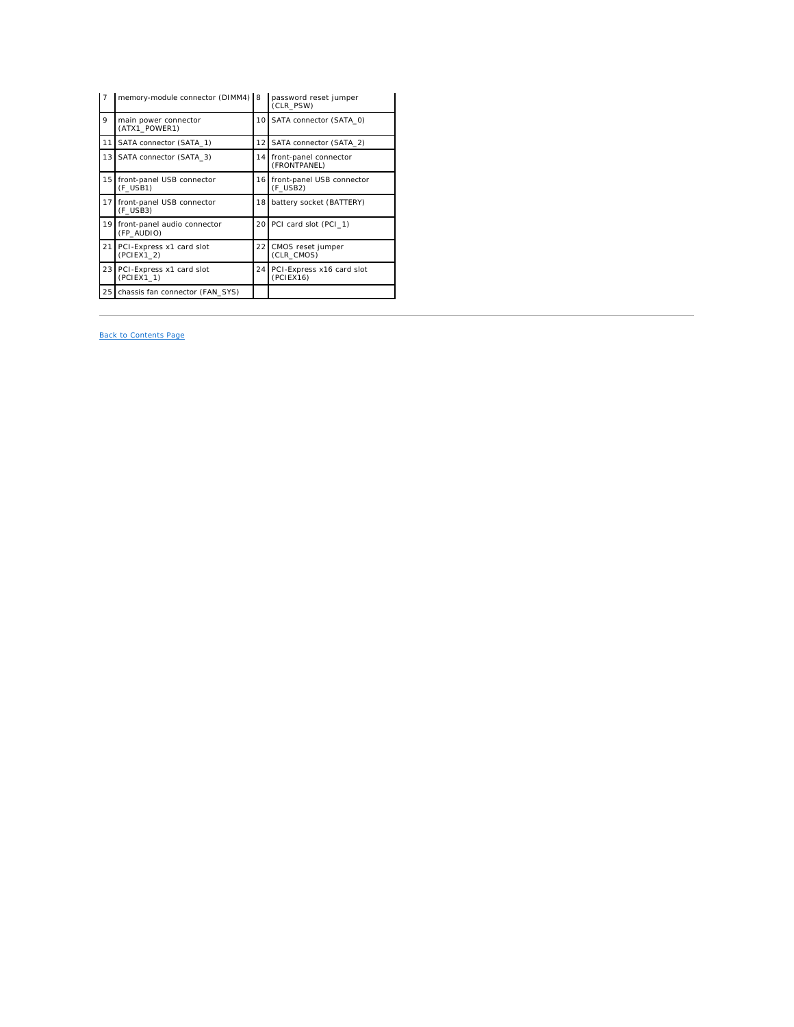| $\overline{7}$  | memory-module connector (DIMM4) 8         |                 | password reset jumper<br>(CLR PSW)       |
|-----------------|-------------------------------------------|-----------------|------------------------------------------|
| 9               | main power connector<br>(ATX1_POWER1)     | 10 I            | SATA connector (SATA 0)                  |
| 11              | SATA connector (SATA 1)                   | 12 I            | SATA connector (SATA 2)                  |
| 13 <sup>1</sup> | SATA connector (SATA 3)                   |                 | 14 front-panel connector<br>(FRONTPANEL) |
| 15 <sup>1</sup> | front-panel USB connector<br>(F USB1)     | 16 I            | front-panel USB connector<br>(F USB2)    |
| 17 <sup>1</sup> | front-panel USB connector<br>(F USB3)     | 18 I            | battery socket (BATTERY)                 |
| 19 <sup>1</sup> | front-panel audio connector<br>(FP AUDIO) |                 | 20 PCI card slot (PCI 1)                 |
| 21              | PCI-Express x1 card slot<br>(PCIEX1 2)    | 221             | CMOS reset jumper<br>(CLR CMOS)          |
| 23              | PCI-Express x1 card slot<br>(PCIEX1 1)    | 24 <sup>1</sup> | PCI-Express x16 card slot<br>(PCIEX16)   |
| 25              | chassis fan connector (FAN SYS)           |                 |                                          |